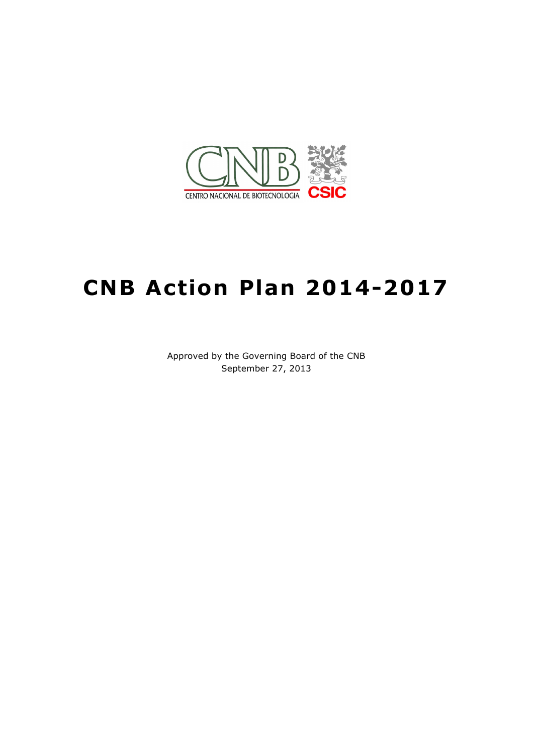

# **CNB Action Plan 2014-2017**

Approved by the Governing Board of the CNB September 27, 2013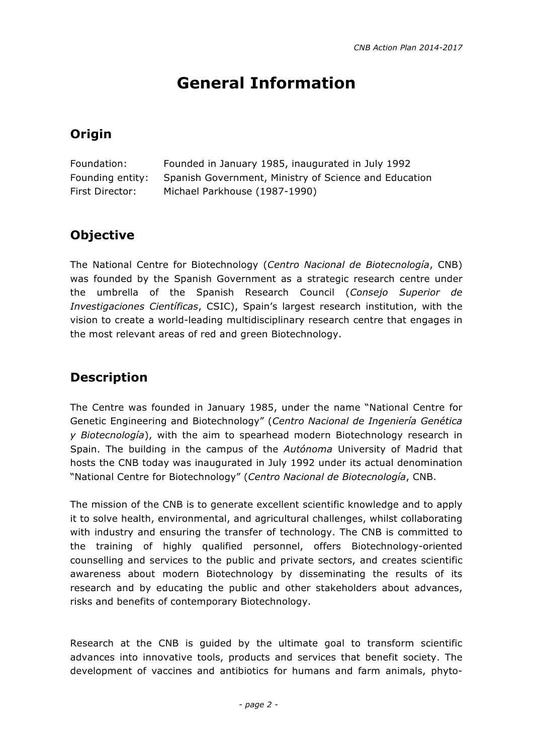# **General Information**

# **Origin**

| Foundation:      | Founded in January 1985, inaugurated in July 1992     |
|------------------|-------------------------------------------------------|
| Founding entity: | Spanish Government, Ministry of Science and Education |
| First Director:  | Michael Parkhouse (1987-1990)                         |

# **Objective**

The National Centre for Biotechnology (*Centro Nacional de Biotecnología*, CNB) was founded by the Spanish Government as a strategic research centre under the umbrella of the Spanish Research Council (*Consejo Superior de Investigaciones Científicas*, CSIC), Spain's largest research institution, with the vision to create a world-leading multidisciplinary research centre that engages in the most relevant areas of red and green Biotechnology.

# **Description**

The Centre was founded in January 1985, under the name "National Centre for Genetic Engineering and Biotechnology" (*Centro Nacional de Ingeniería Genética y Biotecnología*), with the aim to spearhead modern Biotechnology research in Spain. The building in the campus of the *Autónoma* University of Madrid that hosts the CNB today was inaugurated in July 1992 under its actual denomination "National Centre for Biotechnology" (*Centro Nacional de Biotecnología*, CNB.

The mission of the CNB is to generate excellent scientific knowledge and to apply it to solve health, environmental, and agricultural challenges, whilst collaborating with industry and ensuring the transfer of technology. The CNB is committed to the training of highly qualified personnel, offers Biotechnology-oriented counselling and services to the public and private sectors, and creates scientific awareness about modern Biotechnology by disseminating the results of its research and by educating the public and other stakeholders about advances, risks and benefits of contemporary Biotechnology.

Research at the CNB is guided by the ultimate goal to transform scientific advances into innovative tools, products and services that benefit society. The development of vaccines and antibiotics for humans and farm animals, phyto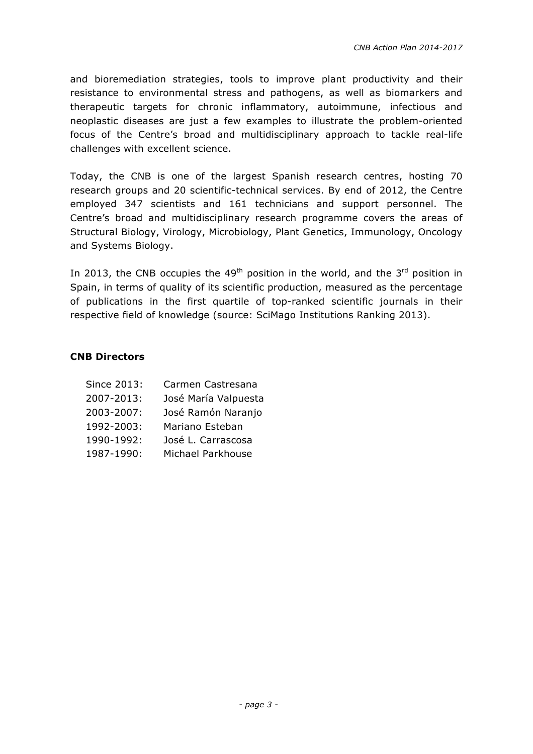and bioremediation strategies, tools to improve plant productivity and their resistance to environmental stress and pathogens, as well as biomarkers and therapeutic targets for chronic inflammatory, autoimmune, infectious and neoplastic diseases are just a few examples to illustrate the problem-oriented focus of the Centre's broad and multidisciplinary approach to tackle real-life challenges with excellent science.

Today, the CNB is one of the largest Spanish research centres, hosting 70 research groups and 20 scientific-technical services. By end of 2012, the Centre employed 347 scientists and 161 technicians and support personnel. The Centre's broad and multidisciplinary research programme covers the areas of Structural Biology, Virology, Microbiology, Plant Genetics, Immunology, Oncology and Systems Biology.

In 2013, the CNB occupies the 49<sup>th</sup> position in the world, and the 3<sup>rd</sup> position in Spain, in terms of quality of its scientific production, measured as the percentage of publications in the first quartile of top-ranked scientific journals in their respective field of knowledge (source: SciMago Institutions Ranking 2013).

#### **CNB Directors**

| Since 2013: | Carmen Castresana    |
|-------------|----------------------|
| 2007-2013:  | José María Valpuesta |
| 2003-2007:  | José Ramón Naranjo   |
| 1992-2003:  | Mariano Esteban      |
| 1990-1992:  | José L. Carrascosa   |
| 1987-1990:  | Michael Parkhouse    |
|             |                      |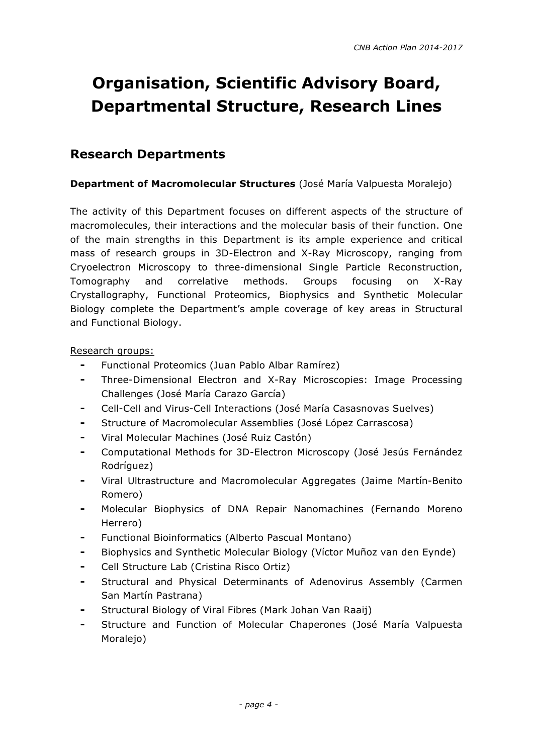# **Organisation, Scientific Advisory Board, Departmental Structure, Research Lines**

## **Research Departments**

#### **Department of Macromolecular Structures** (José María Valpuesta Moralejo)

The activity of this Department focuses on different aspects of the structure of macromolecules, their interactions and the molecular basis of their function. One of the main strengths in this Department is its ample experience and critical mass of research groups in 3D-Electron and X-Ray Microscopy, ranging from Cryoelectron Microscopy to three-dimensional Single Particle Reconstruction, Tomography and correlative methods. Groups focusing on X-Ray Crystallography, Functional Proteomics, Biophysics and Synthetic Molecular Biology complete the Department's ample coverage of key areas in Structural and Functional Biology.

- ⁃ Functional Proteomics (Juan Pablo Albar Ramírez)
- ⁃ Three-Dimensional Electron and X-Ray Microscopies: Image Processing Challenges (José María Carazo García)
- ⁃ Cell-Cell and Virus-Cell Interactions (José María Casasnovas Suelves)
- Structure of Macromolecular Assemblies (José López Carrascosa)
- ⁃ Viral Molecular Machines (José Ruiz Castón)
- ⁃ Computational Methods for 3D-Electron Microscopy (José Jesús Fernández Rodríguez)
- Viral Ultrastructure and Macromolecular Aggregates (Jaime Martín-Benito Romero)
- Molecular Biophysics of DNA Repair Nanomachines (Fernando Moreno Herrero)
- Functional Bioinformatics (Alberto Pascual Montano)
- Biophysics and Synthetic Molecular Biology (Víctor Muñoz van den Eynde)
- Cell Structure Lab (Cristina Risco Ortiz)
- Structural and Physical Determinants of Adenovirus Assembly (Carmen San Martín Pastrana)
- Structural Biology of Viral Fibres (Mark Johan Van Raaij)
- Structure and Function of Molecular Chaperones (José María Valpuesta Moralejo)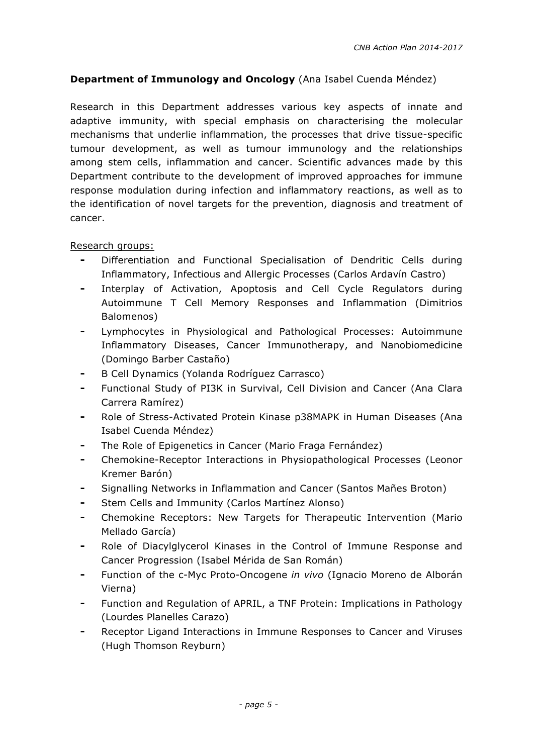#### **Department of Immunology and Oncology** (Ana Isabel Cuenda Méndez)

Research in this Department addresses various key aspects of innate and adaptive immunity, with special emphasis on characterising the molecular mechanisms that underlie inflammation, the processes that drive tissue-specific tumour development, as well as tumour immunology and the relationships among stem cells, inflammation and cancer. Scientific advances made by this Department contribute to the development of improved approaches for immune response modulation during infection and inflammatory reactions, as well as to the identification of novel targets for the prevention, diagnosis and treatment of cancer.

- Differentiation and Functional Specialisation of Dendritic Cells during Inflammatory, Infectious and Allergic Processes (Carlos Ardavín Castro)
- ⁃ Interplay of Activation, Apoptosis and Cell Cycle Regulators during Autoimmune T Cell Memory Responses and Inflammation (Dimitrios Balomenos)
- ⁃ Lymphocytes in Physiological and Pathological Processes: Autoimmune Inflammatory Diseases, Cancer Immunotherapy, and Nanobiomedicine (Domingo Barber Castaño)
- ⁃ B Cell Dynamics (Yolanda Rodríguez Carrasco)
- Functional Study of PI3K in Survival, Cell Division and Cancer (Ana Clara Carrera Ramírez)
- Role of Stress-Activated Protein Kinase p38MAPK in Human Diseases (Ana Isabel Cuenda Méndez)
- The Role of Epigenetics in Cancer (Mario Fraga Fernández)
- ⁃ Chemokine-Receptor Interactions in Physiopathological Processes (Leonor Kremer Barón)
- Signalling Networks in Inflammation and Cancer (Santos Mañes Broton)
- Stem Cells and Immunity (Carlos Martínez Alonso)
- Chemokine Receptors: New Targets for Therapeutic Intervention (Mario Mellado García)
- Role of Diacylglycerol Kinases in the Control of Immune Response and Cancer Progression (Isabel Mérida de San Román)
- ⁃ Function of the c-Myc Proto-Oncogene *in vivo* (Ignacio Moreno de Alborán Vierna)
- Function and Regulation of APRIL, a TNF Protein: Implications in Pathology (Lourdes Planelles Carazo)
- Receptor Ligand Interactions in Immune Responses to Cancer and Viruses (Hugh Thomson Reyburn)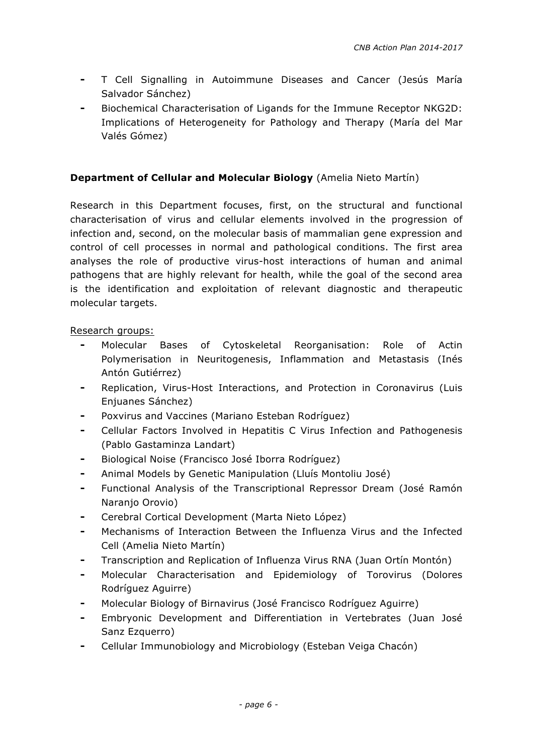- ⁃ T Cell Signalling in Autoimmune Diseases and Cancer (Jesús María Salvador Sánchez)
- Biochemical Characterisation of Ligands for the Immune Receptor NKG2D: Implications of Heterogeneity for Pathology and Therapy (María del Mar Valés Gómez)

#### **Department of Cellular and Molecular Biology** (Amelia Nieto Martín)

Research in this Department focuses, first, on the structural and functional characterisation of virus and cellular elements involved in the progression of infection and, second, on the molecular basis of mammalian gene expression and control of cell processes in normal and pathological conditions. The first area analyses the role of productive virus-host interactions of human and animal pathogens that are highly relevant for health, while the goal of the second area is the identification and exploitation of relevant diagnostic and therapeutic molecular targets.

- ⁃ Molecular Bases of Cytoskeletal Reorganisation: Role of Actin Polymerisation in Neuritogenesis, Inflammation and Metastasis (Inés Antón Gutiérrez)
- ⁃ Replication, Virus-Host Interactions, and Protection in Coronavirus (Luis Enjuanes Sánchez)
- Poxvirus and Vaccines (Mariano Esteban Rodríguez)
- Cellular Factors Involved in Hepatitis C Virus Infection and Pathogenesis (Pablo Gastaminza Landart)
- ⁃ Biological Noise (Francisco José Iborra Rodríguez)
- Animal Models by Genetic Manipulation (Lluís Montoliu José)
- Functional Analysis of the Transcriptional Repressor Dream (José Ramón Naranjo Orovio)
- ⁃ Cerebral Cortical Development (Marta Nieto López)
- Mechanisms of Interaction Between the Influenza Virus and the Infected Cell (Amelia Nieto Martín)
- ⁃ Transcription and Replication of Influenza Virus RNA (Juan Ortín Montón)
- Molecular Characterisation and Epidemiology of Torovirus (Dolores Rodríguez Aguirre)
- ⁃ Molecular Biology of Birnavirus (José Francisco Rodríguez Aguirre)
- ⁃ Embryonic Development and Differentiation in Vertebrates (Juan José Sanz Ezquerro)
- Cellular Immunobiology and Microbiology (Esteban Veiga Chacón)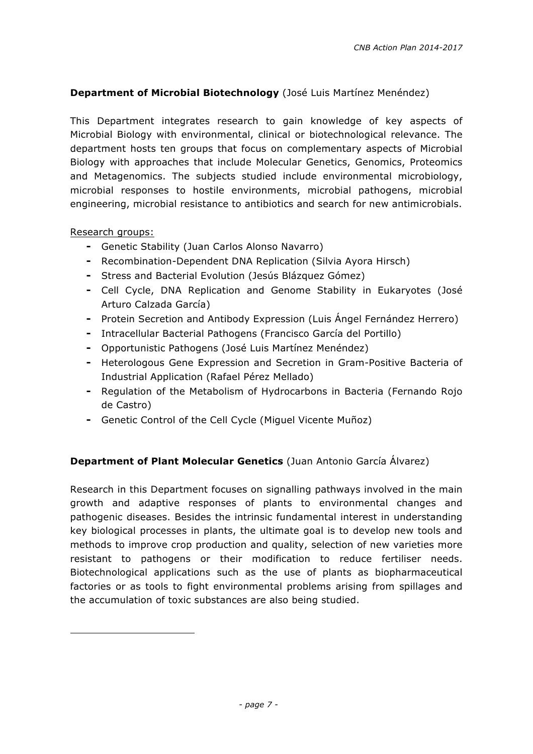#### **Department of Microbial Biotechnology** (José Luis Martínez Menéndez)

This Department integrates research to gain knowledge of key aspects of Microbial Biology with environmental, clinical or biotechnological relevance. The department hosts ten groups that focus on complementary aspects of Microbial Biology with approaches that include Molecular Genetics, Genomics, Proteomics and Metagenomics. The subjects studied include environmental microbiology, microbial responses to hostile environments, microbial pathogens, microbial engineering, microbial resistance to antibiotics and search for new antimicrobials.

Research groups:

- ⁃ Genetic Stability (Juan Carlos Alonso Navarro)
- ⁃ Recombination-Dependent DNA Replication (Silvia Ayora Hirsch)
- ⁃ Stress and Bacterial Evolution (Jesús Blázquez Gómez)
- ⁃ Cell Cycle, DNA Replication and Genome Stability in Eukaryotes (José Arturo Calzada García)
- ⁃ Protein Secretion and Antibody Expression (Luis Ángel Fernández Herrero)
- ⁃ Intracellular Bacterial Pathogens (Francisco García del Portillo)
- ⁃ Opportunistic Pathogens (José Luis Martínez Menéndez)
- ⁃ Heterologous Gene Expression and Secretion in Gram-Positive Bacteria of Industrial Application (Rafael Pérez Mellado)
- ⁃ Regulation of the Metabolism of Hydrocarbons in Bacteria (Fernando Rojo de Castro)
- ⁃ Genetic Control of the Cell Cycle (Miguel Vicente Muñoz)

#### **Department of Plant Molecular Genetics** (Juan Antonio García Álvarez)

Research in this Department focuses on signalling pathways involved in the main growth and adaptive responses of plants to environmental changes and pathogenic diseases. Besides the intrinsic fundamental interest in understanding key biological processes in plants, the ultimate goal is to develop new tools and methods to improve crop production and quality, selection of new varieties more resistant to pathogens or their modification to reduce fertiliser needs. Biotechnological applications such as the use of plants as biopharmaceutical factories or as tools to fight environmental problems arising from spillages and the accumulation of toxic substances are also being studied.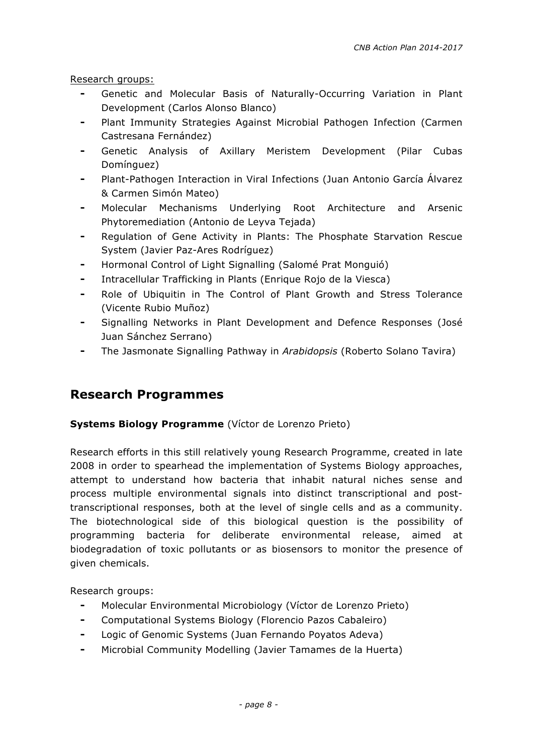Research groups:

- ⁃ Genetic and Molecular Basis of Naturally-Occurring Variation in Plant Development (Carlos Alonso Blanco)
- Plant Immunity Strategies Against Microbial Pathogen Infection (Carmen Castresana Fernández)
- Genetic Analysis of Axillary Meristem Development (Pilar Cubas Domínguez)
- Plant-Pathogen Interaction in Viral Infections (Juan Antonio García Álvarez & Carmen Simón Mateo)
- Molecular Mechanisms Underlying Root Architecture and Arsenic Phytoremediation (Antonio de Leyva Tejada)
- Regulation of Gene Activity in Plants: The Phosphate Starvation Rescue System (Javier Paz-Ares Rodríguez)
- Hormonal Control of Light Signalling (Salomé Prat Monguió)
- ⁃ Intracellular Trafficking in Plants (Enrique Rojo de la Viesca)
- Role of Ubiquitin in The Control of Plant Growth and Stress Tolerance (Vicente Rubio Muñoz)
- Signalling Networks in Plant Development and Defence Responses (José Juan Sánchez Serrano)
- ⁃ The Jasmonate Signalling Pathway in *Arabidopsis* (Roberto Solano Tavira)

# **Research Programmes**

#### **Systems Biology Programme** (Víctor de Lorenzo Prieto)

Research efforts in this still relatively young Research Programme, created in late 2008 in order to spearhead the implementation of Systems Biology approaches, attempt to understand how bacteria that inhabit natural niches sense and process multiple environmental signals into distinct transcriptional and posttranscriptional responses, both at the level of single cells and as a community. The biotechnological side of this biological question is the possibility of programming bacteria for deliberate environmental release, aimed at biodegradation of toxic pollutants or as biosensors to monitor the presence of given chemicals.

- ⁃ Molecular Environmental Microbiology (Víctor de Lorenzo Prieto)
- ⁃ Computational Systems Biology (Florencio Pazos Cabaleiro)
- ⁃ Logic of Genomic Systems (Juan Fernando Poyatos Adeva)
- ⁃ Microbial Community Modelling (Javier Tamames de la Huerta)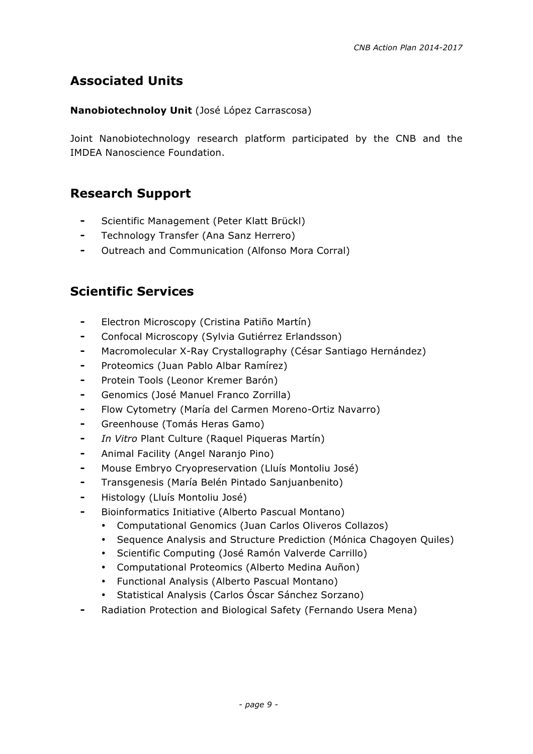# **Associated Units**

#### **Nanobiotechnoloy Unit** (José López Carrascosa)

Joint Nanobiotechnology research platform participated by the CNB and the IMDEA Nanoscience Foundation.

## **Research Support**

- Scientific Management (Peter Klatt Brückl)
- ⁃ Technology Transfer (Ana Sanz Herrero)
- ⁃ Outreach and Communication (Alfonso Mora Corral)

# **Scientific Services**

- ⁃ Electron Microscopy (Cristina Patiño Martín)
- ⁃ Confocal Microscopy (Sylvia Gutiérrez Erlandsson)
- Macromolecular X-Ray Crystallography (César Santiago Hernández)
- ⁃ Proteomics (Juan Pablo Albar Ramírez)
- ⁃ Protein Tools (Leonor Kremer Barón)
- ⁃ Genomics (José Manuel Franco Zorrilla)
- ⁃ Flow Cytometry (María del Carmen Moreno-Ortiz Navarro)
- ⁃ Greenhouse (Tomás Heras Gamo)
- ⁃ *In Vitro* Plant Culture (Raquel Piqueras Martín)
- ⁃ Animal Facility (Angel Naranjo Pino)
- ⁃ Mouse Embryo Cryopreservation (Lluís Montoliu José)
- ⁃ Transgenesis (María Belén Pintado Sanjuanbenito)
- ⁃ Histology (Lluís Montoliu José)
- ⁃ Bioinformatics Initiative (Alberto Pascual Montano)
	- Computational Genomics (Juan Carlos Oliveros Collazos)
	- Sequence Analysis and Structure Prediction (Mónica Chagoyen Quiles)
	- Scientific Computing (José Ramón Valverde Carrillo)
	- Computational Proteomics (Alberto Medina Auñon)
	- Functional Analysis (Alberto Pascual Montano)
	- Statistical Analysis (Carlos Óscar Sánchez Sorzano)
- Radiation Protection and Biological Safety (Fernando Usera Mena)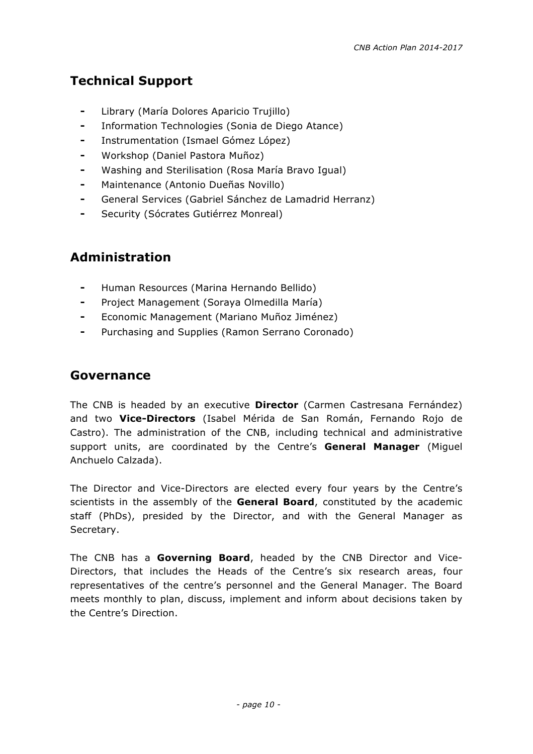# **Technical Support**

- ⁃ Library (María Dolores Aparicio Trujillo)
- ⁃ Information Technologies (Sonia de Diego Atance)
- Instrumentation (Ismael Gómez López)
- Workshop (Daniel Pastora Muñoz)
- Washing and Sterilisation (Rosa María Bravo Igual)
- ⁃ Maintenance (Antonio Dueñas Novillo)
- ⁃ General Services (Gabriel Sánchez de Lamadrid Herranz)
- Security (Sócrates Gutiérrez Monreal)

# **Administration**

- ⁃ Human Resources (Marina Hernando Bellido)
- ⁃ Project Management (Soraya Olmedilla María)
- ⁃ Economic Management (Mariano Muñoz Jiménez)
- Purchasing and Supplies (Ramon Serrano Coronado)

# **Governance**

The CNB is headed by an executive **Director** (Carmen Castresana Fernández) and two **Vice-Directors** (Isabel Mérida de San Román, Fernando Rojo de Castro). The administration of the CNB, including technical and administrative support units, are coordinated by the Centre's **General Manager** (Miguel Anchuelo Calzada).

The Director and Vice-Directors are elected every four years by the Centre's scientists in the assembly of the **General Board**, constituted by the academic staff (PhDs), presided by the Director, and with the General Manager as Secretary.

The CNB has a **Governing Board**, headed by the CNB Director and Vice-Directors, that includes the Heads of the Centre's six research areas, four representatives of the centre's personnel and the General Manager. The Board meets monthly to plan, discuss, implement and inform about decisions taken by the Centre's Direction.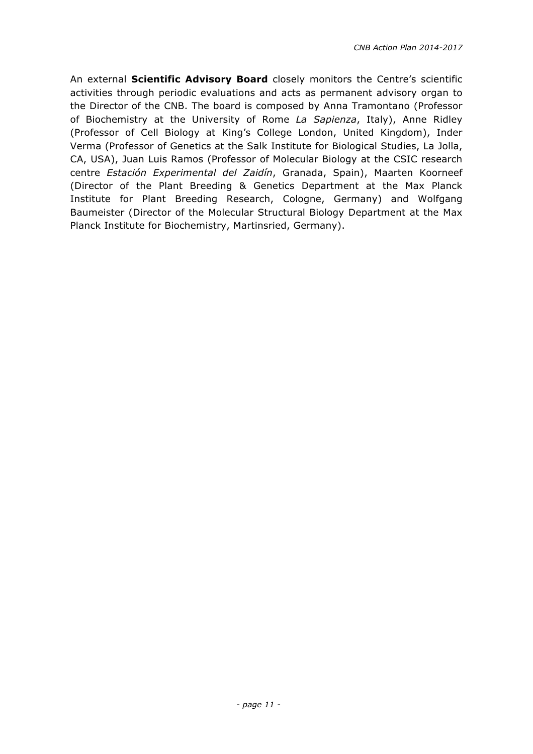An external **Scientific Advisory Board** closely monitors the Centre's scientific activities through periodic evaluations and acts as permanent advisory organ to the Director of the CNB. The board is composed by Anna Tramontano (Professor of Biochemistry at the University of Rome *La Sapienza*, Italy), Anne Ridley (Professor of Cell Biology at King's College London, United Kingdom), Inder Verma (Professor of Genetics at the Salk Institute for Biological Studies, La Jolla, CA, USA), Juan Luis Ramos (Professor of Molecular Biology at the CSIC research centre *Estación Experimental del Zaidín*, Granada, Spain), Maarten Koorneef (Director of the Plant Breeding & Genetics Department at the Max Planck Institute for Plant Breeding Research, Cologne, Germany) and Wolfgang Baumeister (Director of the Molecular Structural Biology Department at the Max Planck Institute for Biochemistry, Martinsried, Germany).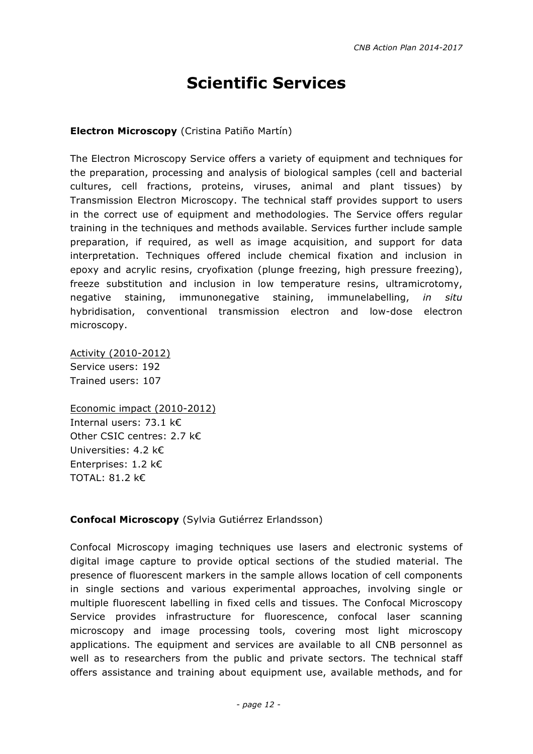# **Scientific Services**

#### **Electron Microscopy** (Cristina Patiño Martín)

The Electron Microscopy Service offers a variety of equipment and techniques for the preparation, processing and analysis of biological samples (cell and bacterial cultures, cell fractions, proteins, viruses, animal and plant tissues) by Transmission Electron Microscopy. The technical staff provides support to users in the correct use of equipment and methodologies. The Service offers regular training in the techniques and methods available. Services further include sample preparation, if required, as well as image acquisition, and support for data interpretation. Techniques offered include chemical fixation and inclusion in epoxy and acrylic resins, cryofixation (plunge freezing, high pressure freezing), freeze substitution and inclusion in low temperature resins, ultramicrotomy, negative staining, immunonegative staining, immunelabelling, *in situ* hybridisation, conventional transmission electron and low-dose electron microscopy.

Activity (2010-2012) Service users: 192 Trained users: 107

Economic impact (2010-2012) Internal users: 73.1 k€ Other CSIC centres: 2.7 k€ Universities: 4.2 k€ Enterprises: 1.2 k€ TOTAL: 81.2 k€

#### **Confocal Microscopy** (Sylvia Gutiérrez Erlandsson)

Confocal Microscopy imaging techniques use lasers and electronic systems of digital image capture to provide optical sections of the studied material. The presence of fluorescent markers in the sample allows location of cell components in single sections and various experimental approaches, involving single or multiple fluorescent labelling in fixed cells and tissues. The Confocal Microscopy Service provides infrastructure for fluorescence, confocal laser scanning microscopy and image processing tools, covering most light microscopy applications. The equipment and services are available to all CNB personnel as well as to researchers from the public and private sectors. The technical staff offers assistance and training about equipment use, available methods, and for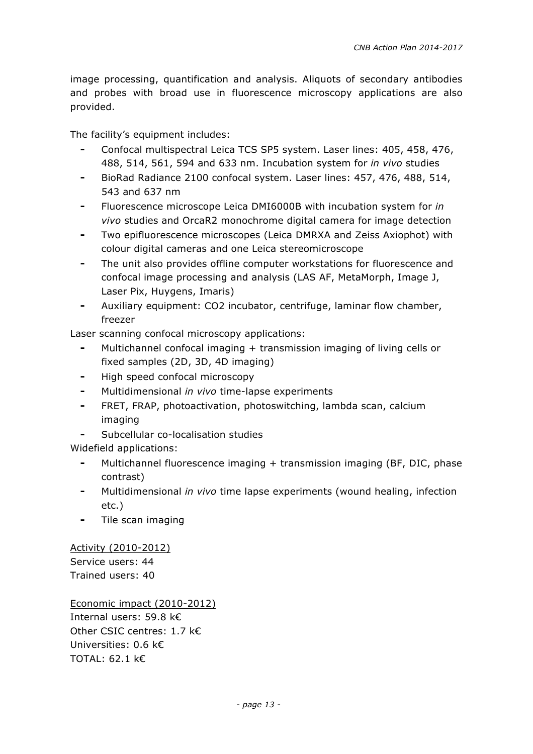image processing, quantification and analysis. Aliquots of secondary antibodies and probes with broad use in fluorescence microscopy applications are also provided.

The facility's equipment includes:

- Confocal multispectral Leica TCS SP5 system. Laser lines: 405, 458, 476, 488, 514, 561, 594 and 633 nm. Incubation system for *in vivo* studies
- ⁃ BioRad Radiance 2100 confocal system. Laser lines: 457, 476, 488, 514, 543 and 637 nm
- ⁃ Fluorescence microscope Leica DMI6000B with incubation system for *in vivo* studies and OrcaR2 monochrome digital camera for image detection
- Two epifluorescence microscopes (Leica DMRXA and Zeiss Axiophot) with colour digital cameras and one Leica stereomicroscope
- ⁃ The unit also provides offline computer workstations for fluorescence and confocal image processing and analysis (LAS AF, MetaMorph, Image J, Laser Pix, Huygens, Imaris)
- Auxiliary equipment: CO2 incubator, centrifuge, laminar flow chamber, freezer

Laser scanning confocal microscopy applications:

- ⁃ Multichannel confocal imaging + transmission imaging of living cells or fixed samples (2D, 3D, 4D imaging)
- ⁃ High speed confocal microscopy
- Multidimensional *in vivo* time-lapse experiments
- ⁃ FRET, FRAP, photoactivation, photoswitching, lambda scan, calcium imaging
- Subcellular co-localisation studies

Widefield applications:

- Multichannel fluorescence imaging + transmission imaging (BF, DIC, phase contrast)
- ⁃ Multidimensional *in vivo* time lapse experiments (wound healing, infection etc.)
- ⁃ Tile scan imaging

Activity (2010-2012) Service users: 44 Trained users: 40

Economic impact (2010-2012) Internal users: 59.8 k€ Other CSIC centres: 1.7 k€ Universities: 0.6 k€ TOTAL: 62.1 k€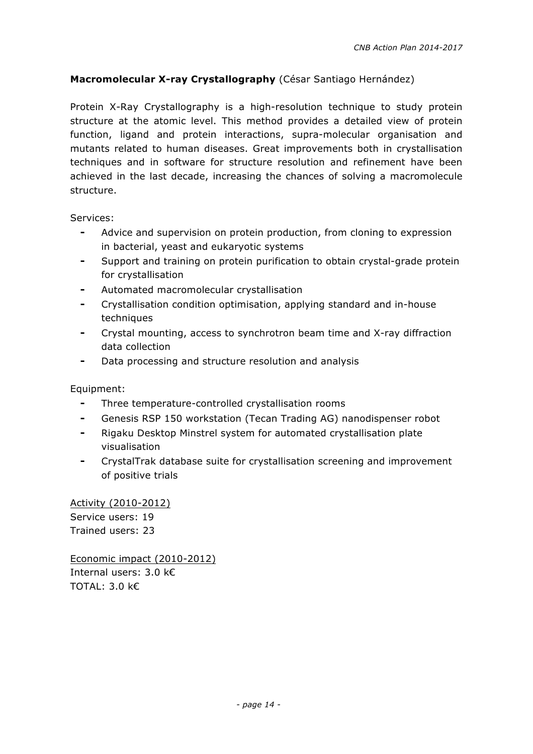#### **Macromolecular X-ray Crystallography** (César Santiago Hernández)

Protein X-Ray Crystallography is a high-resolution technique to study protein structure at the atomic level. This method provides a detailed view of protein function, ligand and protein interactions, supra-molecular organisation and mutants related to human diseases. Great improvements both in crystallisation techniques and in software for structure resolution and refinement have been achieved in the last decade, increasing the chances of solving a macromolecule structure.

Services:

- Advice and supervision on protein production, from cloning to expression in bacterial, yeast and eukaryotic systems
- Support and training on protein purification to obtain crystal-grade protein for crystallisation
- Automated macromolecular crystallisation
- ⁃ Crystallisation condition optimisation, applying standard and in-house techniques
- Crystal mounting, access to synchrotron beam time and X-ray diffraction data collection
- Data processing and structure resolution and analysis

Equipment:

- ⁃ Three temperature-controlled crystallisation rooms
- ⁃ Genesis RSP 150 workstation (Tecan Trading AG) nanodispenser robot
- Rigaku Desktop Minstrel system for automated crystallisation plate visualisation
- CrystalTrak database suite for crystallisation screening and improvement of positive trials

Activity (2010-2012) Service users: 19 Trained users: 23

Economic impact (2010-2012) Internal users: 3.0 k€ TOTAL: 3.0 k€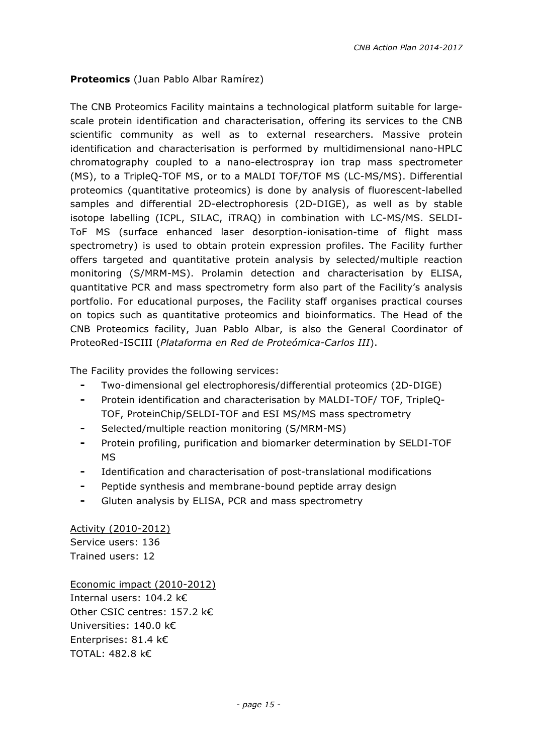#### **Proteomics** (Juan Pablo Albar Ramírez)

The CNB Proteomics Facility maintains a technological platform suitable for largescale protein identification and characterisation, offering its services to the CNB scientific community as well as to external researchers. Massive protein identification and characterisation is performed by multidimensional nano-HPLC chromatography coupled to a nano-electrospray ion trap mass spectrometer (MS), to a TripleQ-TOF MS, or to a MALDI TOF/TOF MS (LC-MS/MS). Differential proteomics (quantitative proteomics) is done by analysis of fluorescent-labelled samples and differential 2D-electrophoresis (2D-DIGE), as well as by stable isotope labelling (ICPL, SILAC, iTRAQ) in combination with LC-MS/MS. SELDI-ToF MS (surface enhanced laser desorption-ionisation-time of flight mass spectrometry) is used to obtain protein expression profiles. The Facility further offers targeted and quantitative protein analysis by selected/multiple reaction monitoring (S/MRM-MS). Prolamin detection and characterisation by ELISA, quantitative PCR and mass spectrometry form also part of the Facility's analysis portfolio. For educational purposes, the Facility staff organises practical courses on topics such as quantitative proteomics and bioinformatics. The Head of the CNB Proteomics facility, Juan Pablo Albar, is also the General Coordinator of ProteoRed-ISCIII (*Plataforma en Red de Proteómica-Carlos III*).

The Facility provides the following services:

- ⁃ Two-dimensional gel electrophoresis/differential proteomics (2D-DIGE)
- ⁃ Protein identification and characterisation by MALDI-TOF/ TOF, TripleQ-TOF, ProteinChip/SELDI-TOF and ESI MS/MS mass spectrometry
- Selected/multiple reaction monitoring (S/MRM-MS)
- ⁃ Protein profiling, purification and biomarker determination by SELDI-TOF MS
- Identification and characterisation of post-translational modifications
- ⁃ Peptide synthesis and membrane-bound peptide array design
- ⁃ Gluten analysis by ELISA, PCR and mass spectrometry

Activity (2010-2012) Service users: 136 Trained users: 12

Economic impact (2010-2012) Internal users: 104.2 k€ Other CSIC centres: 157.2 k€ Universities: 140.0 k€ Enterprises: 81.4 k€ TOTAL: 482.8 k€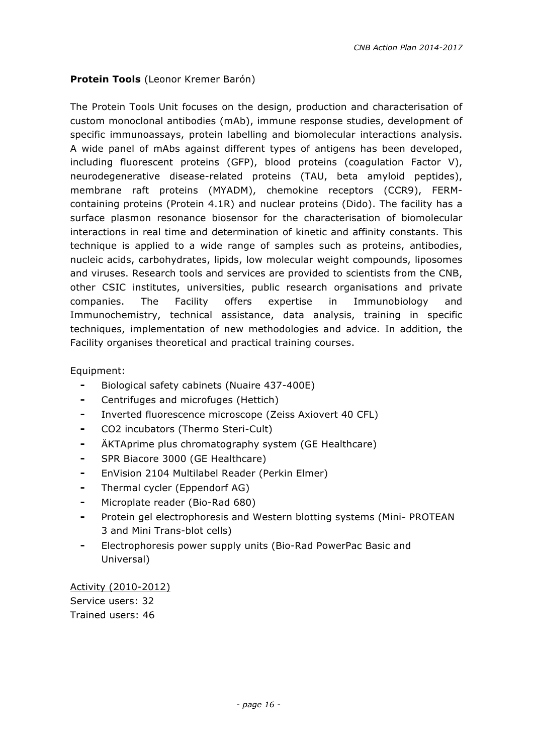#### **Protein Tools** (Leonor Kremer Barón)

The Protein Tools Unit focuses on the design, production and characterisation of custom monoclonal antibodies (mAb), immune response studies, development of specific immunoassays, protein labelling and biomolecular interactions analysis. A wide panel of mAbs against different types of antigens has been developed, including fluorescent proteins (GFP), blood proteins (coagulation Factor V), neurodegenerative disease-related proteins (TAU, beta amyloid peptides), membrane raft proteins (MYADM), chemokine receptors (CCR9), FERMcontaining proteins (Protein 4.1R) and nuclear proteins (Dido). The facility has a surface plasmon resonance biosensor for the characterisation of biomolecular interactions in real time and determination of kinetic and affinity constants. This technique is applied to a wide range of samples such as proteins, antibodies, nucleic acids, carbohydrates, lipids, low molecular weight compounds, liposomes and viruses. Research tools and services are provided to scientists from the CNB, other CSIC institutes, universities, public research organisations and private companies. The Facility offers expertise in Immunobiology and Immunochemistry, technical assistance, data analysis, training in specific techniques, implementation of new methodologies and advice. In addition, the Facility organises theoretical and practical training courses.

Equipment:

- ⁃ Biological safety cabinets (Nuaire 437-400E)
- ⁃ Centrifuges and microfuges (Hettich)
- ⁃ Inverted fluorescence microscope (Zeiss Axiovert 40 CFL)
- ⁃ CO2 incubators (Thermo Steri-Cult)
- ⁃ ÄKTAprime plus chromatography system (GE Healthcare)
- ⁃ SPR Biacore 3000 (GE Healthcare)
- ⁃ EnVision 2104 Multilabel Reader (Perkin Elmer)
- Thermal cycler (Eppendorf AG)
- Microplate reader (Bio-Rad 680)
- Protein gel electrophoresis and Western blotting systems (Mini- PROTEAN 3 and Mini Trans-blot cells)
- ⁃ Electrophoresis power supply units (Bio-Rad PowerPac Basic and Universal)

Activity (2010-2012) Service users: 32 Trained users: 46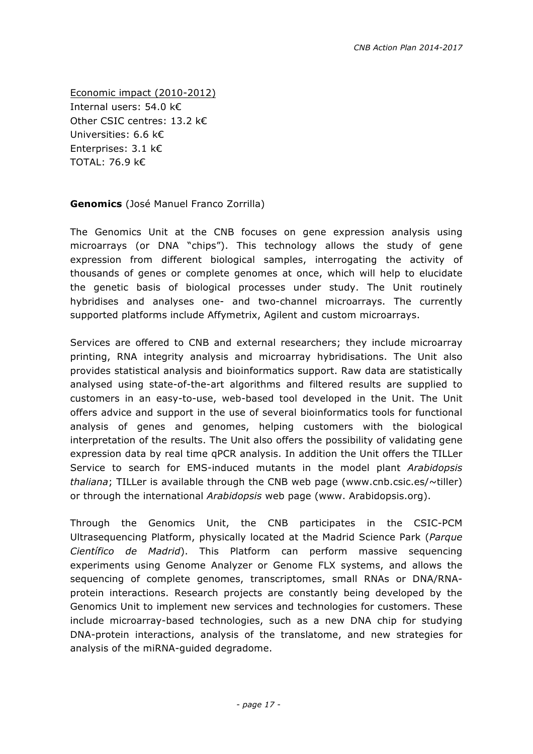Economic impact (2010-2012) Internal users: 54.0 k€ Other CSIC centres: 13.2 k€ Universities: 6.6 k€ Enterprises: 3.1 k€ TOTAL: 76.9 k€

**Genomics** (José Manuel Franco Zorrilla)

The Genomics Unit at the CNB focuses on gene expression analysis using microarrays (or DNA "chips"). This technology allows the study of gene expression from different biological samples, interrogating the activity of thousands of genes or complete genomes at once, which will help to elucidate the genetic basis of biological processes under study. The Unit routinely hybridises and analyses one- and two-channel microarrays. The currently supported platforms include Affymetrix, Agilent and custom microarrays.

Services are offered to CNB and external researchers; they include microarray printing, RNA integrity analysis and microarray hybridisations. The Unit also provides statistical analysis and bioinformatics support. Raw data are statistically analysed using state-of-the-art algorithms and filtered results are supplied to customers in an easy-to-use, web-based tool developed in the Unit. The Unit offers advice and support in the use of several bioinformatics tools for functional analysis of genes and genomes, helping customers with the biological interpretation of the results. The Unit also offers the possibility of validating gene expression data by real time qPCR analysis. In addition the Unit offers the TILLer Service to search for EMS-induced mutants in the model plant *Arabidopsis thaliana*; TILLer is available through the CNB web page (www.cnb.csic.es/~tiller) or through the international *Arabidopsis* web page (www. Arabidopsis.org).

Through the Genomics Unit, the CNB participates in the CSIC-PCM Ultrasequencing Platform, physically located at the Madrid Science Park (*Parque Científico de Madrid*). This Platform can perform massive sequencing experiments using Genome Analyzer or Genome FLX systems, and allows the sequencing of complete genomes, transcriptomes, small RNAs or DNA/RNAprotein interactions. Research projects are constantly being developed by the Genomics Unit to implement new services and technologies for customers. These include microarray-based technologies, such as a new DNA chip for studying DNA-protein interactions, analysis of the translatome, and new strategies for analysis of the miRNA-guided degradome.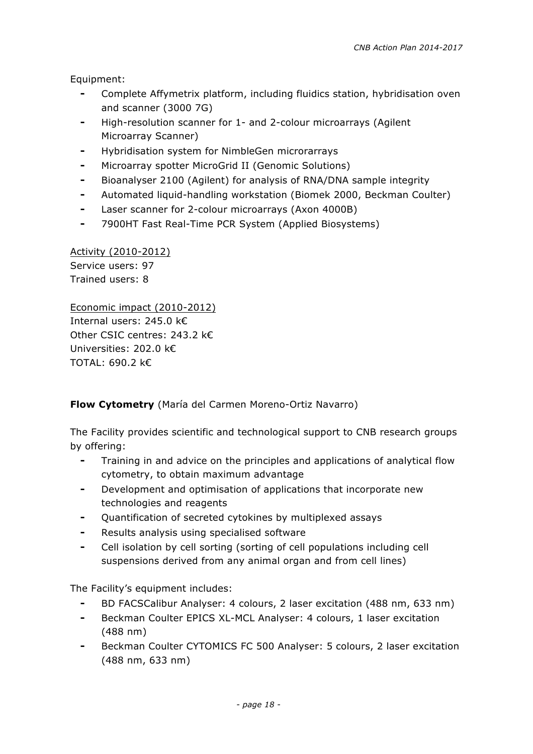Equipment:

- Complete Affymetrix platform, including fluidics station, hybridisation oven and scanner (3000 7G)
- ⁃ High-resolution scanner for 1- and 2-colour microarrays (Agilent Microarray Scanner)
- Hybridisation system for NimbleGen microrarrays
- Microarray spotter MicroGrid II (Genomic Solutions)
- Bioanalyser 2100 (Agilent) for analysis of RNA/DNA sample integrity
- ⁃ Automated liquid-handling workstation (Biomek 2000, Beckman Coulter)
- ⁃ Laser scanner for 2-colour microarrays (Axon 4000B)
- ⁃ 7900HT Fast Real-Time PCR System (Applied Biosystems)

Activity (2010-2012) Service users: 97 Trained users: 8

Economic impact (2010-2012) Internal users: 245.0 k€ Other CSIC centres: 243.2 k€ Universities: 202.0 k€ TOTAL: 690.2 k€

#### **Flow Cytometry** (María del Carmen Moreno-Ortiz Navarro)

The Facility provides scientific and technological support to CNB research groups by offering:

- ⁃ Training in and advice on the principles and applications of analytical flow cytometry, to obtain maximum advantage
- ⁃ Development and optimisation of applications that incorporate new technologies and reagents
- Quantification of secreted cytokines by multiplexed assays
- Results analysis using specialised software
- Cell isolation by cell sorting (sorting of cell populations including cell suspensions derived from any animal organ and from cell lines)

The Facility's equipment includes:

- ⁃ BD FACSCalibur Analyser: 4 colours, 2 laser excitation (488 nm, 633 nm)
- Beckman Coulter EPICS XL-MCL Analyser: 4 colours, 1 laser excitation (488 nm)
- Beckman Coulter CYTOMICS FC 500 Analyser: 5 colours, 2 laser excitation (488 nm, 633 nm)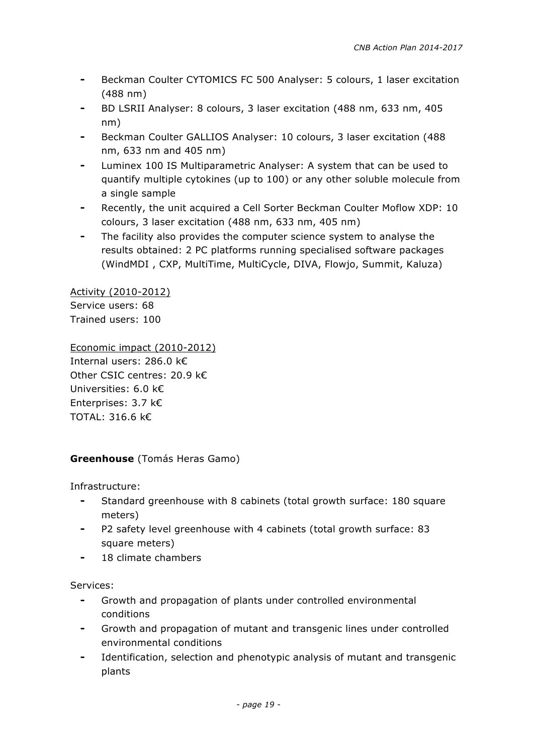- Beckman Coulter CYTOMICS FC 500 Analyser: 5 colours, 1 laser excitation (488 nm)
- BD LSRII Analyser: 8 colours, 3 laser excitation (488 nm, 633 nm, 405 nm)
- Beckman Coulter GALLIOS Analyser: 10 colours, 3 laser excitation (488) nm, 633 nm and 405 nm)
- ⁃ Luminex 100 IS Multiparametric Analyser: A system that can be used to quantify multiple cytokines (up to 100) or any other soluble molecule from a single sample
- Recently, the unit acquired a Cell Sorter Beckman Coulter Moflow XDP: 10 colours, 3 laser excitation (488 nm, 633 nm, 405 nm)
- The facility also provides the computer science system to analyse the results obtained: 2 PC platforms running specialised software packages (WindMDI , CXP, MultiTime, MultiCycle, DIVA, Flowjo, Summit, Kaluza)

Activity (2010-2012) Service users: 68 Trained users: 100

Economic impact (2010-2012) Internal users: 286.0 k€ Other CSIC centres: 20.9 k€ Universities: 6.0 k€ Enterprises: 3.7 k€ TOTAL: 316.6 k€

#### **Greenhouse** (Tomás Heras Gamo)

Infrastructure:

- ⁃ Standard greenhouse with 8 cabinets (total growth surface: 180 square meters)
- P2 safety level greenhouse with 4 cabinets (total growth surface: 83 square meters)
- 18 climate chambers

Services:

- ⁃ Growth and propagation of plants under controlled environmental conditions
- Growth and propagation of mutant and transgenic lines under controlled environmental conditions
- Identification, selection and phenotypic analysis of mutant and transgenic plants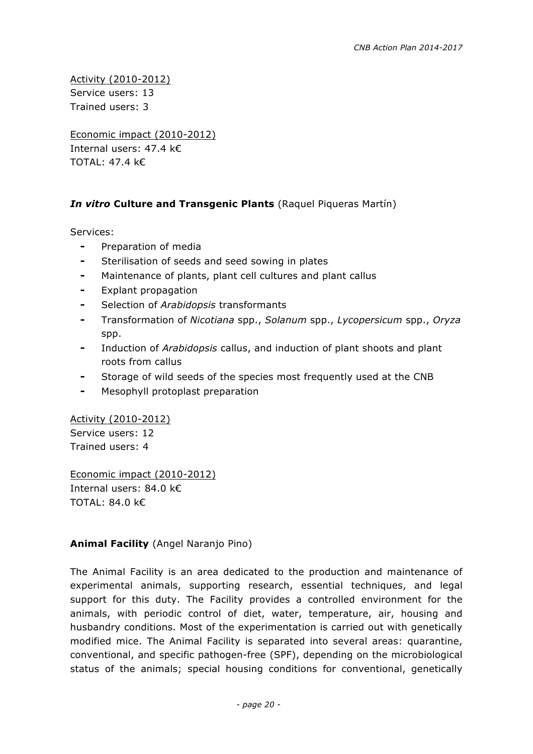Activity (2010-2012) Service users: 13 Trained users: 3

Economic impact (2010-2012) Internal users: 47.4 k€ TOTAL: 47.4 k€

#### *In vitro* **Culture and Transgenic Plants** (Raquel Piqueras Martín)

Services:

- ⁃ Preparation of media
- Sterilisation of seeds and seed sowing in plates
- ⁃ Maintenance of plants, plant cell cultures and plant callus
- ⁃ Explant propagation
- ⁃ Selection of *Arabidopsis* transformants
- ⁃ Transformation of *Nicotiana* spp., *Solanum* spp., *Lycopersicum* spp., *Oryza* spp.
- ⁃ Induction of *Arabidopsis* callus, and induction of plant shoots and plant roots from callus
- Storage of wild seeds of the species most frequently used at the CNB
- Mesophyll protoplast preparation

Activity (2010-2012) Service users: 12

Trained users: 4

Economic impact (2010-2012) Internal users: 84.0 k€ TOTAL: 84.0 k€

**Animal Facility** (Angel Naranjo Pino)

The Animal Facility is an area dedicated to the production and maintenance of experimental animals, supporting research, essential techniques, and legal support for this duty. The Facility provides a controlled environment for the animals, with periodic control of diet, water, temperature, air, housing and husbandry conditions. Most of the experimentation is carried out with genetically modified mice. The Animal Facility is separated into several areas: quarantine, conventional, and specific pathogen-free (SPF), depending on the microbiological status of the animals; special housing conditions for conventional, genetically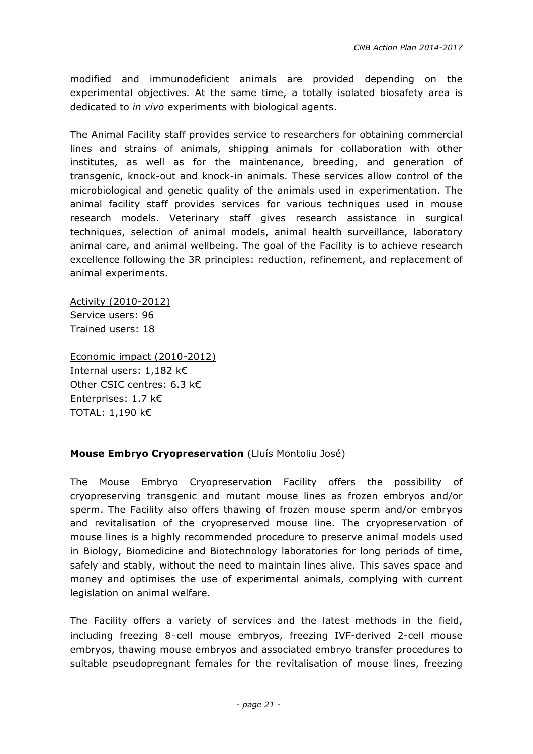modified and immunodeficient animals are provided depending on the experimental objectives. At the same time, a totally isolated biosafety area is dedicated to *in vivo* experiments with biological agents.

The Animal Facility staff provides service to researchers for obtaining commercial lines and strains of animals, shipping animals for collaboration with other institutes, as well as for the maintenance, breeding, and generation of transgenic, knock-out and knock-in animals. These services allow control of the microbiological and genetic quality of the animals used in experimentation. The animal facility staff provides services for various techniques used in mouse research models. Veterinary staff gives research assistance in surgical techniques, selection of animal models, animal health surveillance, laboratory animal care, and animal wellbeing. The goal of the Facility is to achieve research excellence following the 3R principles: reduction, refinement, and replacement of animal experiments.

Activity (2010-2012) Service users: 96 Trained users: 18

Economic impact (2010-2012) Internal users: 1,182 k€ Other CSIC centres: 6.3 k€ Enterprises: 1.7 k€ TOTAL: 1,190 k€

#### **Mouse Embryo Cryopreservation** (Lluís Montoliu José)

The Mouse Embryo Cryopreservation Facility offers the possibility of cryopreserving transgenic and mutant mouse lines as frozen embryos and/or sperm. The Facility also offers thawing of frozen mouse sperm and/or embryos and revitalisation of the cryopreserved mouse line. The cryopreservation of mouse lines is a highly recommended procedure to preserve animal models used in Biology, Biomedicine and Biotechnology laboratories for long periods of time, safely and stably, without the need to maintain lines alive. This saves space and money and optimises the use of experimental animals, complying with current legislation on animal welfare.

The Facility offers a variety of services and the latest methods in the field, including freezing 8‑cell mouse embryos, freezing IVF-derived 2-cell mouse embryos, thawing mouse embryos and associated embryo transfer procedures to suitable pseudopregnant females for the revitalisation of mouse lines, freezing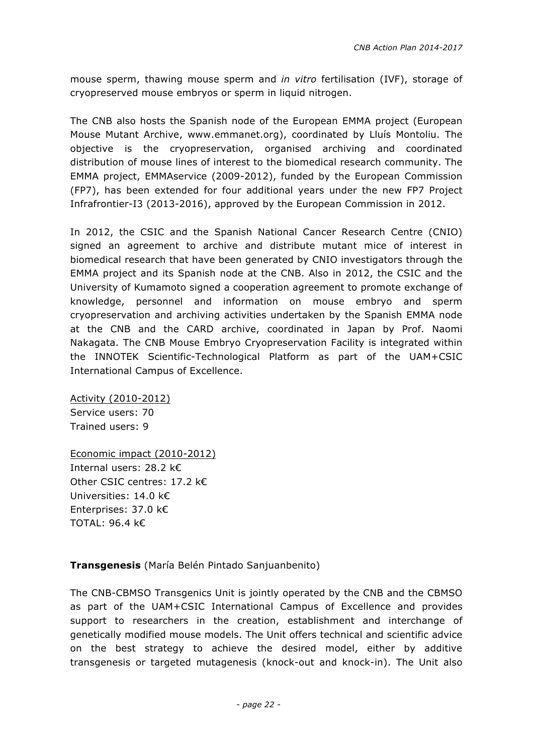mouse sperm, thawing mouse sperm and *in vitro* fertilisation (IVF), storage of cryopreserved mouse embryos or sperm in liquid nitrogen.

The CNB also hosts the Spanish node of the European EMMA project (European Mouse Mutant Archive, www.emmanet.org), coordinated by Lluís Montoliu. The objective is the cryopreservation, organised archiving and coordinated distribution of mouse lines of interest to the biomedical research community. The EMMA project, EMMAservice (2009-2012), funded by the European Commission (FP7), has been extended for four additional years under the new FP7 Project Infrafrontier-I3 (2013-2016), approved by the European Commission in 2012.

In 2012, the CSIC and the Spanish National Cancer Research Centre (CNIO) signed an agreement to archive and distribute mutant mice of interest in biomedical research that have been generated by CNIO investigators through the EMMA project and its Spanish node at the CNB. Also in 2012, the CSIC and the University of Kumamoto signed a cooperation agreement to promote exchange of knowledge, personnel and information on mouse embryo and sperm cryopreservation and archiving activities undertaken by the Spanish EMMA node at the CNB and the CARD archive, coordinated in Japan by Prof. Naomi Nakagata. The CNB Mouse Embryo Cryopreservation Facility is integrated within the INNOTEK Scientific-Technological Platform as part of the UAM+CSIC International Campus of Excellence.

Activity (2010-2012) Service users: 70 Trained users: 9

Economic impact (2010-2012) Internal users: 28.2 k€ Other CSIC centres: 17.2 k€ Universities: 14.0 k€ Enterprises: 37.0 k€ TOTAL: 96.4 k€

#### **Transgenesis** (María Belén Pintado Sanjuanbenito)

The CNB-CBMSO Transgenics Unit is jointly operated by the CNB and the CBMSO as part of the UAM+CSIC International Campus of Excellence and provides support to researchers in the creation, establishment and interchange of genetically modified mouse models. The Unit offers technical and scientific advice on the best strategy to achieve the desired model, either by additive transgenesis or targeted mutagenesis (knock-out and knock-in). The Unit also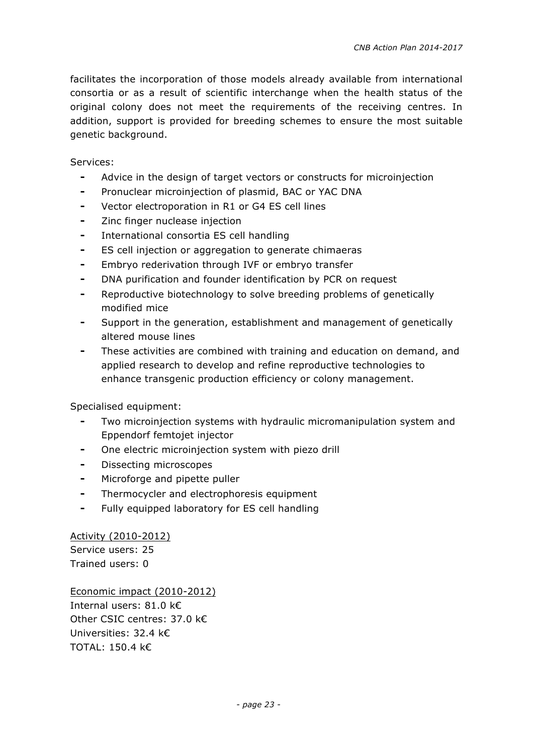facilitates the incorporation of those models already available from international consortia or as a result of scientific interchange when the health status of the original colony does not meet the requirements of the receiving centres. In addition, support is provided for breeding schemes to ensure the most suitable genetic background.

Services:

- ⁃ Advice in the design of target vectors or constructs for microinjection
- Pronuclear microinjection of plasmid, BAC or YAC DNA
- ⁃ Vector electroporation in R1 or G4 ES cell lines
- Zinc finger nuclease injection
- International consortia ES cell handling
- ⁃ ES cell injection or aggregation to generate chimaeras
- ⁃ Embryo rederivation through IVF or embryo transfer
- ⁃ DNA purification and founder identification by PCR on request
- ⁃ Reproductive biotechnology to solve breeding problems of genetically modified mice
- Support in the generation, establishment and management of genetically altered mouse lines
- These activities are combined with training and education on demand, and applied research to develop and refine reproductive technologies to enhance transgenic production efficiency or colony management.

Specialised equipment:

- Two microinjection systems with hydraulic micromanipulation system and Eppendorf femtojet injector
- One electric microinjection system with piezo drill
- ⁃ Dissecting microscopes
- ⁃ Microforge and pipette puller
- ⁃ Thermocycler and electrophoresis equipment
- ⁃ Fully equipped laboratory for ES cell handling

Activity (2010-2012) Service users: 25 Trained users: 0

Economic impact (2010-2012) Internal users: 81.0 k€ Other CSIC centres: 37.0 k€ Universities: 32.4 k€ TOTAL: 150.4 k€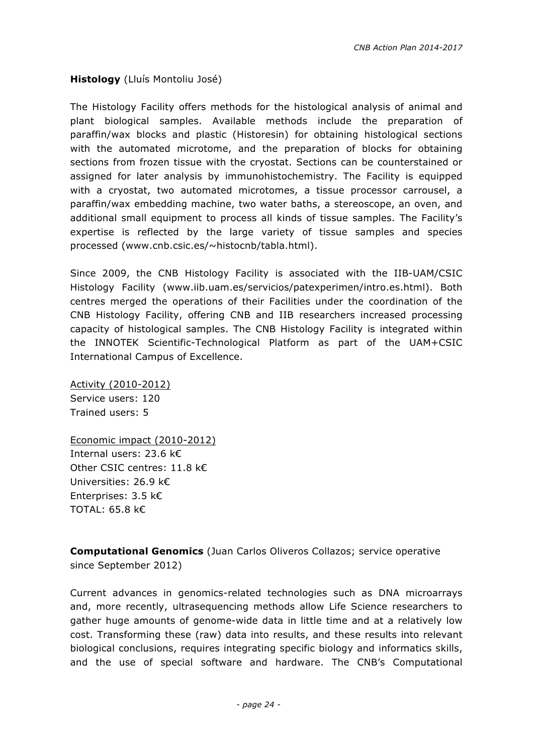**Histology** (Lluís Montoliu José)

The Histology Facility offers methods for the histological analysis of animal and plant biological samples. Available methods include the preparation of paraffin/wax blocks and plastic (Historesin) for obtaining histological sections with the automated microtome, and the preparation of blocks for obtaining sections from frozen tissue with the cryostat. Sections can be counterstained or assigned for later analysis by immunohistochemistry. The Facility is equipped with a cryostat, two automated microtomes, a tissue processor carrousel, a paraffin/wax embedding machine, two water baths, a stereoscope, an oven, and additional small equipment to process all kinds of tissue samples. The Facility's expertise is reflected by the large variety of tissue samples and species processed (www.cnb.csic.es/~histocnb/tabla.html).

Since 2009, the CNB Histology Facility is associated with the IIB-UAM/CSIC Histology Facility (www.iib.uam.es/servicios/patexperimen/intro.es.html). Both centres merged the operations of their Facilities under the coordination of the CNB Histology Facility, offering CNB and IIB researchers increased processing capacity of histological samples. The CNB Histology Facility is integrated within the INNOTEK Scientific-Technological Platform as part of the UAM+CSIC International Campus of Excellence.

Activity (2010-2012) Service users: 120 Trained users: 5

Economic impact (2010-2012) Internal users: 23.6 k€ Other CSIC centres: 11.8 k€ Universities: 26.9 k€ Enterprises: 3.5 k€ TOTAL: 65.8 k€

**Computational Genomics** (Juan Carlos Oliveros Collazos; service operative since September 2012)

Current advances in genomics-related technologies such as DNA microarrays and, more recently, ultrasequencing methods allow Life Science researchers to gather huge amounts of genome-wide data in little time and at a relatively low cost. Transforming these (raw) data into results, and these results into relevant biological conclusions, requires integrating specific biology and informatics skills, and the use of special software and hardware. The CNB's Computational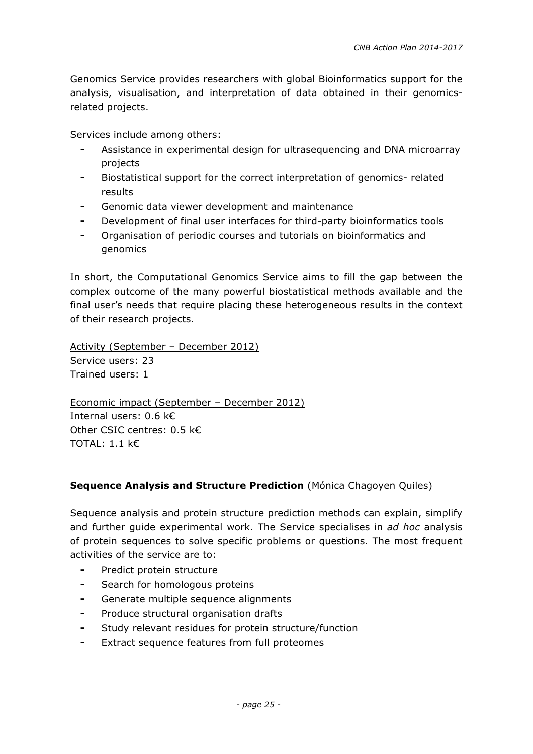Genomics Service provides researchers with global Bioinformatics support for the analysis, visualisation, and interpretation of data obtained in their genomicsrelated projects.

Services include among others:

- Assistance in experimental design for ultrasequencing and DNA microarray projects
- ⁃ Biostatistical support for the correct interpretation of genomics- related results
- Genomic data viewer development and maintenance
- Development of final user interfaces for third-party bioinformatics tools
- ⁃ Organisation of periodic courses and tutorials on bioinformatics and genomics

In short, the Computational Genomics Service aims to fill the gap between the complex outcome of the many powerful biostatistical methods available and the final user's needs that require placing these heterogeneous results in the context of their research projects.

Activity (September – December 2012) Service users: 23 Trained users: 1

Economic impact (September – December 2012) Internal users: 0.6 k€ Other CSIC centres: 0.5 k€ TOTAL: 1.1 k€

#### **Sequence Analysis and Structure Prediction** (Mónica Chagoyen Quiles)

Sequence analysis and protein structure prediction methods can explain, simplify and further guide experimental work. The Service specialises in *ad hoc* analysis of protein sequences to solve specific problems or questions. The most frequent activities of the service are to:

- ⁃ Predict protein structure
- ⁃ Search for homologous proteins
- ⁃ Generate multiple sequence alignments
- Produce structural organisation drafts
- Study relevant residues for protein structure/function
- Extract sequence features from full proteomes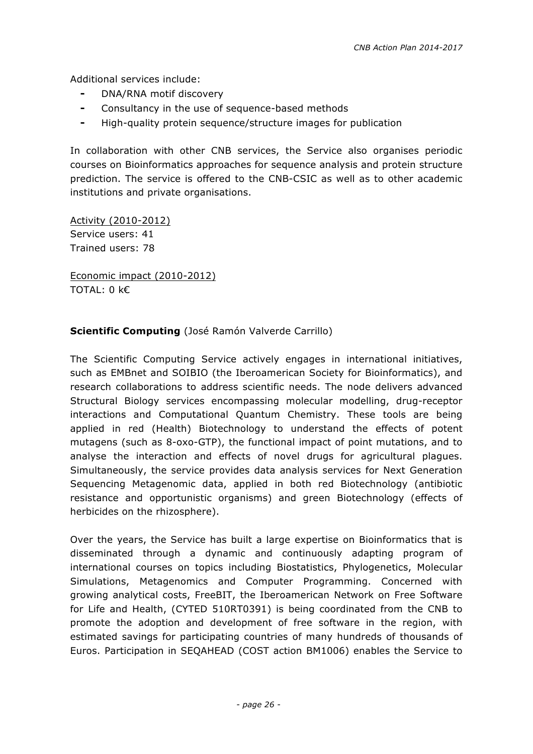Additional services include:

- DNA/RNA motif discovery
- ⁃ Consultancy in the use of sequence-based methods
- ⁃ High-quality protein sequence/structure images for publication

In collaboration with other CNB services, the Service also organises periodic courses on Bioinformatics approaches for sequence analysis and protein structure prediction. The service is offered to the CNB-CSIC as well as to other academic institutions and private organisations.

Activity (2010-2012) Service users: 41 Trained users: 78

Economic impact (2010-2012) TOTAL: 0 k€

#### **Scientific Computing** (José Ramón Valverde Carrillo)

The Scientific Computing Service actively engages in international initiatives, such as EMBnet and SOIBIO (the Iberoamerican Society for Bioinformatics), and research collaborations to address scientific needs. The node delivers advanced Structural Biology services encompassing molecular modelling, drug-receptor interactions and Computational Quantum Chemistry. These tools are being applied in red (Health) Biotechnology to understand the effects of potent mutagens (such as 8-oxo-GTP), the functional impact of point mutations, and to analyse the interaction and effects of novel drugs for agricultural plagues. Simultaneously, the service provides data analysis services for Next Generation Sequencing Metagenomic data, applied in both red Biotechnology (antibiotic resistance and opportunistic organisms) and green Biotechnology (effects of herbicides on the rhizosphere).

Over the years, the Service has built a large expertise on Bioinformatics that is disseminated through a dynamic and continuously adapting program of international courses on topics including Biostatistics, Phylogenetics, Molecular Simulations, Metagenomics and Computer Programming. Concerned with growing analytical costs, FreeBIT, the Iberoamerican Network on Free Software for Life and Health, (CYTED 510RT0391) is being coordinated from the CNB to promote the adoption and development of free software in the region, with estimated savings for participating countries of many hundreds of thousands of Euros. Participation in SEQAHEAD (COST action BM1006) enables the Service to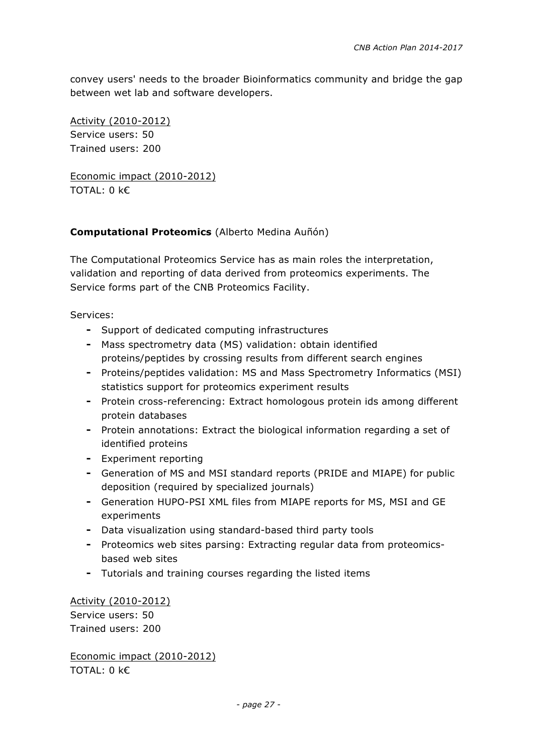convey users' needs to the broader Bioinformatics community and bridge the gap between wet lab and software developers.

Activity (2010-2012) Service users: 50 Trained users: 200

Economic impact (2010-2012) TOTAL: 0 k€

#### **Computational Proteomics** (Alberto Medina Auñón)

The Computational Proteomics Service has as main roles the interpretation, validation and reporting of data derived from proteomics experiments. The Service forms part of the CNB Proteomics Facility.

Services:

- ⁃ Support of dedicated computing infrastructures
- ⁃ Mass spectrometry data (MS) validation: obtain identified proteins/peptides by crossing results from different search engines
- ⁃ Proteins/peptides validation: MS and Mass Spectrometry Informatics (MSI) statistics support for proteomics experiment results
- ⁃ Protein cross-referencing: Extract homologous protein ids among different protein databases
- ⁃ Protein annotations: Extract the biological information regarding a set of identified proteins
- ⁃ Experiment reporting
- ⁃ Generation of MS and MSI standard reports (PRIDE and MIAPE) for public deposition (required by specialized journals)
- ⁃ Generation HUPO-PSI XML files from MIAPE reports for MS, MSI and GE experiments
- ⁃ Data visualization using standard-based third party tools
- ⁃ Proteomics web sites parsing: Extracting regular data from proteomicsbased web sites
- ⁃ Tutorials and training courses regarding the listed items

Activity (2010-2012) Service users: 50 Trained users: 200

Economic impact (2010-2012) TOTAL: 0 k€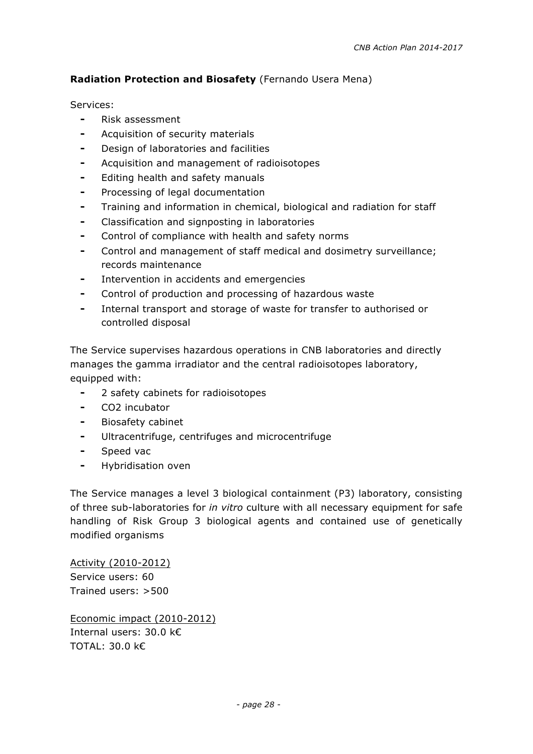#### **Radiation Protection and Biosafety** (Fernando Usera Mena)

Services:

- ⁃ Risk assessment
- ⁃ Acquisition of security materials
- ⁃ Design of laboratories and facilities
- ⁃ Acquisition and management of radioisotopes
- ⁃ Editing health and safety manuals
- ⁃ Processing of legal documentation
- ⁃ Training and information in chemical, biological and radiation for staff
- Classification and signposting in laboratories
- Control of compliance with health and safety norms
- Control and management of staff medical and dosimetry surveillance; records maintenance
- Intervention in accidents and emergencies
- ⁃ Control of production and processing of hazardous waste
- ⁃ Internal transport and storage of waste for transfer to authorised or controlled disposal

The Service supervises hazardous operations in CNB laboratories and directly manages the gamma irradiator and the central radioisotopes laboratory, equipped with:

- ⁃ 2 safety cabinets for radioisotopes
- ⁃ CO2 incubator
- ⁃ Biosafety cabinet
- ⁃ Ultracentrifuge, centrifuges and microcentrifuge
- ⁃ Speed vac
- ⁃ Hybridisation oven

The Service manages a level 3 biological containment (P3) laboratory, consisting of three sub-laboratories for *in vitro* culture with all necessary equipment for safe handling of Risk Group 3 biological agents and contained use of genetically modified organisms

Activity (2010-2012) Service users: 60 Trained users: >500

Economic impact (2010-2012) Internal users: 30.0 k€ TOTAL: 30.0 k€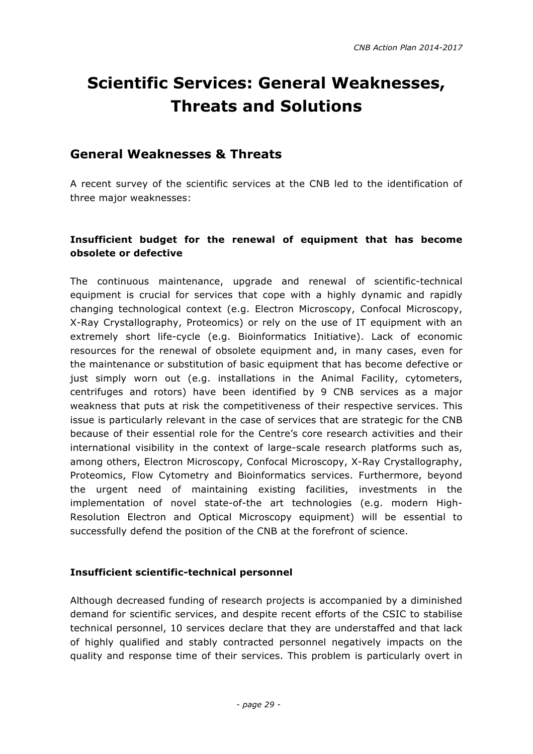# **Scientific Services: General Weaknesses, Threats and Solutions**

## **General Weaknesses & Threats**

A recent survey of the scientific services at the CNB led to the identification of three major weaknesses:

#### **Insufficient budget for the renewal of equipment that has become obsolete or defective**

The continuous maintenance, upgrade and renewal of scientific-technical equipment is crucial for services that cope with a highly dynamic and rapidly changing technological context (e.g. Electron Microscopy, Confocal Microscopy, X-Ray Crystallography, Proteomics) or rely on the use of IT equipment with an extremely short life-cycle (e.g. Bioinformatics Initiative). Lack of economic resources for the renewal of obsolete equipment and, in many cases, even for the maintenance or substitution of basic equipment that has become defective or just simply worn out (e.g. installations in the Animal Facility, cytometers, centrifuges and rotors) have been identified by 9 CNB services as a major weakness that puts at risk the competitiveness of their respective services. This issue is particularly relevant in the case of services that are strategic for the CNB because of their essential role for the Centre's core research activities and their international visibility in the context of large-scale research platforms such as, among others, Electron Microscopy, Confocal Microscopy, X-Ray Crystallography, Proteomics, Flow Cytometry and Bioinformatics services. Furthermore, beyond the urgent need of maintaining existing facilities, investments in the implementation of novel state-of-the art technologies (e.g. modern High-Resolution Electron and Optical Microscopy equipment) will be essential to successfully defend the position of the CNB at the forefront of science.

#### **Insufficient scientific-technical personnel**

Although decreased funding of research projects is accompanied by a diminished demand for scientific services, and despite recent efforts of the CSIC to stabilise technical personnel, 10 services declare that they are understaffed and that lack of highly qualified and stably contracted personnel negatively impacts on the quality and response time of their services. This problem is particularly overt in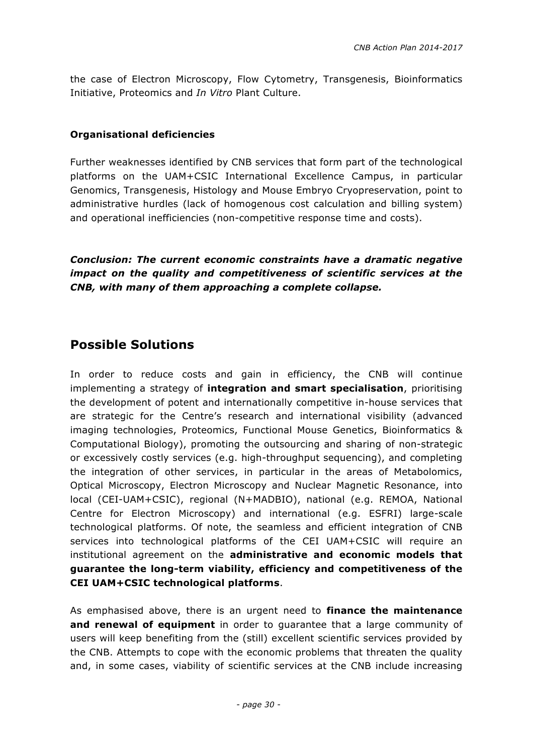the case of Electron Microscopy, Flow Cytometry, Transgenesis, Bioinformatics Initiative, Proteomics and *In Vitro* Plant Culture.

#### **Organisational deficiencies**

Further weaknesses identified by CNB services that form part of the technological platforms on the UAM+CSIC International Excellence Campus, in particular Genomics, Transgenesis, Histology and Mouse Embryo Cryopreservation, point to administrative hurdles (lack of homogenous cost calculation and billing system) and operational inefficiencies (non-competitive response time and costs).

*Conclusion: The current economic constraints have a dramatic negative impact on the quality and competitiveness of scientific services at the CNB, with many of them approaching a complete collapse.* 

## **Possible Solutions**

In order to reduce costs and gain in efficiency, the CNB will continue implementing a strategy of **integration and smart specialisation**, prioritising the development of potent and internationally competitive in-house services that are strategic for the Centre's research and international visibility (advanced imaging technologies, Proteomics, Functional Mouse Genetics, Bioinformatics & Computational Biology), promoting the outsourcing and sharing of non-strategic or excessively costly services (e.g. high-throughput sequencing), and completing the integration of other services, in particular in the areas of Metabolomics, Optical Microscopy, Electron Microscopy and Nuclear Magnetic Resonance, into local (CEI-UAM+CSIC), regional (N+MADBIO), national (e.g. REMOA, National Centre for Electron Microscopy) and international (e.g. ESFRI) large-scale technological platforms. Of note, the seamless and efficient integration of CNB services into technological platforms of the CEI UAM+CSIC will require an institutional agreement on the **administrative and economic models that guarantee the long-term viability, efficiency and competitiveness of the CEI UAM+CSIC technological platforms**.

As emphasised above, there is an urgent need to **finance the maintenance and renewal of equipment** in order to guarantee that a large community of users will keep benefiting from the (still) excellent scientific services provided by the CNB. Attempts to cope with the economic problems that threaten the quality and, in some cases, viability of scientific services at the CNB include increasing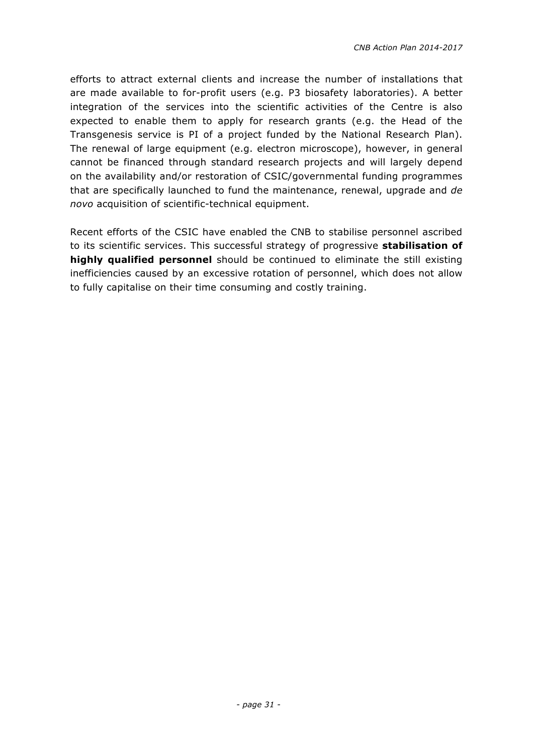efforts to attract external clients and increase the number of installations that are made available to for-profit users (e.g. P3 biosafety laboratories). A better integration of the services into the scientific activities of the Centre is also expected to enable them to apply for research grants (e.g. the Head of the Transgenesis service is PI of a project funded by the National Research Plan). The renewal of large equipment (e.g. electron microscope), however, in general cannot be financed through standard research projects and will largely depend on the availability and/or restoration of CSIC/governmental funding programmes that are specifically launched to fund the maintenance, renewal, upgrade and *de novo* acquisition of scientific-technical equipment.

Recent efforts of the CSIC have enabled the CNB to stabilise personnel ascribed to its scientific services. This successful strategy of progressive **stabilisation of highly qualified personnel** should be continued to eliminate the still existing inefficiencies caused by an excessive rotation of personnel, which does not allow to fully capitalise on their time consuming and costly training.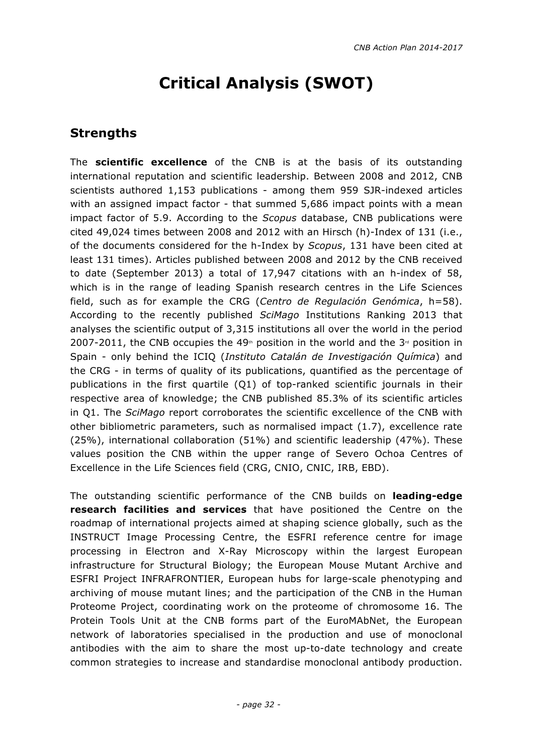# **Critical Analysis (SWOT)**

## **Strengths**

The **scientific excellence** of the CNB is at the basis of its outstanding international reputation and scientific leadership. Between 2008 and 2012, CNB scientists authored 1,153 publications - among them 959 SJR-indexed articles with an assigned impact factor - that summed 5,686 impact points with a mean impact factor of 5.9. According to the *Scopus* database, CNB publications were cited 49,024 times between 2008 and 2012 with an Hirsch (h)-Index of 131 (i.e., of the documents considered for the h-Index by *Scopus*, 131 have been cited at least 131 times). Articles published between 2008 and 2012 by the CNB received to date (September 2013) a total of 17,947 citations with an h-index of 58, which is in the range of leading Spanish research centres in the Life Sciences field, such as for example the CRG (*Centro de Regulación Genómica*, h=58). According to the recently published *SciMago* Institutions Ranking 2013 that analyses the scientific output of 3,315 institutions all over the world in the period 2007-2011, the CNB occupies the 49<sup>th</sup> position in the world and the  $3<sup>d</sup>$  position in Spain - only behind the ICIQ (*Instituto Catalán de Investigación Química*) and the CRG - in terms of quality of its publications, quantified as the percentage of publications in the first quartile (Q1) of top-ranked scientific journals in their respective area of knowledge; the CNB published 85.3% of its scientific articles in Q1. The *SciMago* report corroborates the scientific excellence of the CNB with other bibliometric parameters, such as normalised impact (1.7), excellence rate (25%), international collaboration (51%) and scientific leadership (47%). These values position the CNB within the upper range of Severo Ochoa Centres of Excellence in the Life Sciences field (CRG, CNIO, CNIC, IRB, EBD).

The outstanding scientific performance of the CNB builds on **leading-edge research facilities and services** that have positioned the Centre on the roadmap of international projects aimed at shaping science globally, such as the INSTRUCT Image Processing Centre, the ESFRI reference centre for image processing in Electron and X-Ray Microscopy within the largest European infrastructure for Structural Biology; the European Mouse Mutant Archive and ESFRI Project INFRAFRONTIER, European hubs for large-scale phenotyping and archiving of mouse mutant lines; and the participation of the CNB in the Human Proteome Project, coordinating work on the proteome of chromosome 16. The Protein Tools Unit at the CNB forms part of the EuroMAbNet, the European network of laboratories specialised in the production and use of monoclonal antibodies with the aim to share the most up-to-date technology and create common strategies to increase and standardise monoclonal antibody production.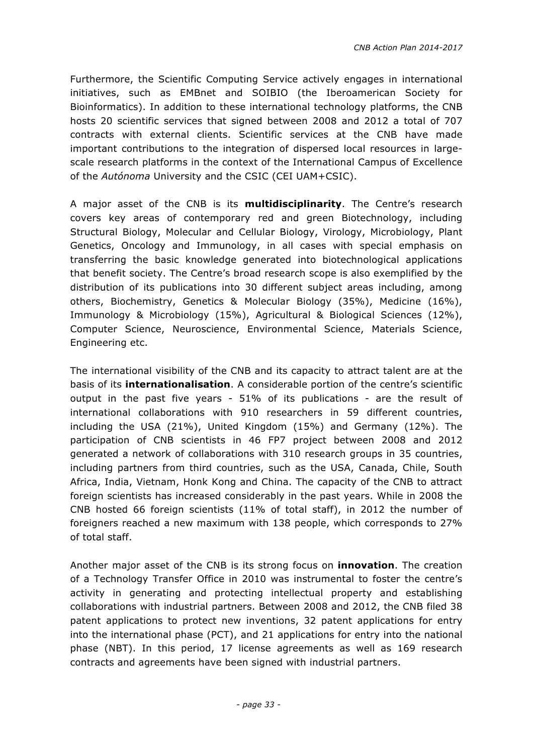Furthermore, the Scientific Computing Service actively engages in international initiatives, such as EMBnet and SOIBIO (the Iberoamerican Society for Bioinformatics). In addition to these international technology platforms, the CNB hosts 20 scientific services that signed between 2008 and 2012 a total of 707 contracts with external clients. Scientific services at the CNB have made important contributions to the integration of dispersed local resources in largescale research platforms in the context of the International Campus of Excellence of the *Autónoma* University and the CSIC (CEI UAM+CSIC).

A major asset of the CNB is its **multidisciplinarity**. The Centre's research covers key areas of contemporary red and green Biotechnology, including Structural Biology, Molecular and Cellular Biology, Virology, Microbiology, Plant Genetics, Oncology and Immunology, in all cases with special emphasis on transferring the basic knowledge generated into biotechnological applications that benefit society. The Centre's broad research scope is also exemplified by the distribution of its publications into 30 different subject areas including, among others, Biochemistry, Genetics & Molecular Biology (35%), Medicine (16%), Immunology & Microbiology (15%), Agricultural & Biological Sciences (12%), Computer Science, Neuroscience, Environmental Science, Materials Science, Engineering etc.

The international visibility of the CNB and its capacity to attract talent are at the basis of its **internationalisation**. A considerable portion of the centre's scientific output in the past five years - 51% of its publications - are the result of international collaborations with 910 researchers in 59 different countries, including the USA (21%), United Kingdom (15%) and Germany (12%). The participation of CNB scientists in 46 FP7 project between 2008 and 2012 generated a network of collaborations with 310 research groups in 35 countries, including partners from third countries, such as the USA, Canada, Chile, South Africa, India, Vietnam, Honk Kong and China. The capacity of the CNB to attract foreign scientists has increased considerably in the past years. While in 2008 the CNB hosted 66 foreign scientists (11% of total staff), in 2012 the number of foreigners reached a new maximum with 138 people, which corresponds to 27% of total staff.

Another major asset of the CNB is its strong focus on **innovation**. The creation of a Technology Transfer Office in 2010 was instrumental to foster the centre's activity in generating and protecting intellectual property and establishing collaborations with industrial partners. Between 2008 and 2012, the CNB filed 38 patent applications to protect new inventions, 32 patent applications for entry into the international phase (PCT), and 21 applications for entry into the national phase (NBT). In this period, 17 license agreements as well as 169 research contracts and agreements have been signed with industrial partners.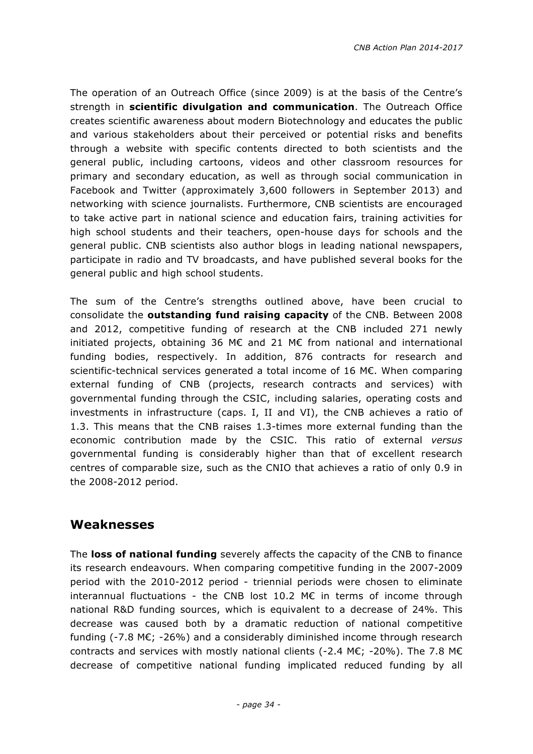The operation of an Outreach Office (since 2009) is at the basis of the Centre's strength in **scientific divulgation and communication**. The Outreach Office creates scientific awareness about modern Biotechnology and educates the public and various stakeholders about their perceived or potential risks and benefits through a website with specific contents directed to both scientists and the general public, including cartoons, videos and other classroom resources for primary and secondary education, as well as through social communication in Facebook and Twitter (approximately 3,600 followers in September 2013) and networking with science journalists. Furthermore, CNB scientists are encouraged to take active part in national science and education fairs, training activities for high school students and their teachers, open-house days for schools and the general public. CNB scientists also author blogs in leading national newspapers, participate in radio and TV broadcasts, and have published several books for the general public and high school students.

The sum of the Centre's strengths outlined above, have been crucial to consolidate the **outstanding fund raising capacity** of the CNB. Between 2008 and 2012, competitive funding of research at the CNB included 271 newly initiated projects, obtaining 36 M€ and 21 M€ from national and international funding bodies, respectively. In addition, 876 contracts for research and scientific-technical services generated a total income of 16 M€. When comparing external funding of CNB (projects, research contracts and services) with governmental funding through the CSIC, including salaries, operating costs and investments in infrastructure (caps. I, II and VI), the CNB achieves a ratio of 1.3. This means that the CNB raises 1.3-times more external funding than the economic contribution made by the CSIC. This ratio of external *versus* governmental funding is considerably higher than that of excellent research centres of comparable size, such as the CNIO that achieves a ratio of only 0.9 in the 2008-2012 period.

#### **Weaknesses**

The **loss of national funding** severely affects the capacity of the CNB to finance its research endeavours. When comparing competitive funding in the 2007-2009 period with the 2010-2012 period - triennial periods were chosen to eliminate interannual fluctuations - the CNB lost 10.2 M€ in terms of income through national R&D funding sources, which is equivalent to a decrease of 24%. This decrease was caused both by a dramatic reduction of national competitive funding (-7.8 M $\varepsilon$ ; -26%) and a considerably diminished income through research contracts and services with mostly national clients (-2.4 M€; -20%). The 7.8 M€ decrease of competitive national funding implicated reduced funding by all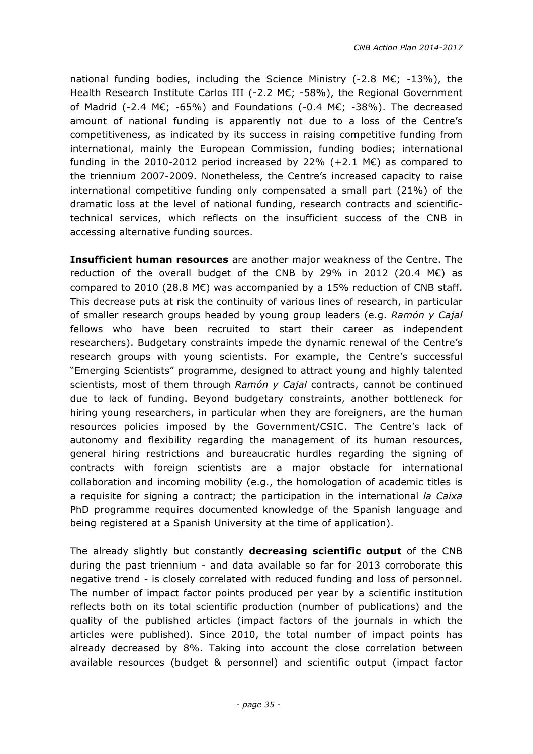national funding bodies, including the Science Ministry (-2.8 M€; -13%), the Health Research Institute Carlos III (-2.2 M€; -58%), the Regional Government of Madrid (-2.4 M€; -65%) and Foundations (-0.4 M€; -38%). The decreased amount of national funding is apparently not due to a loss of the Centre's competitiveness, as indicated by its success in raising competitive funding from international, mainly the European Commission, funding bodies; international funding in the 2010-2012 period increased by 22% (+2.1  $M\epsilon$ ) as compared to the triennium 2007-2009. Nonetheless, the Centre's increased capacity to raise international competitive funding only compensated a small part (21%) of the dramatic loss at the level of national funding, research contracts and scientifictechnical services, which reflects on the insufficient success of the CNB in accessing alternative funding sources.

**Insufficient human resources** are another major weakness of the Centre. The reduction of the overall budget of the CNB by 29% in 2012 (20.4 ME) as compared to 2010 (28.8 M $\epsilon$ ) was accompanied by a 15% reduction of CNB staff. This decrease puts at risk the continuity of various lines of research, in particular of smaller research groups headed by young group leaders (e.g. *Ramón y Cajal*  fellows who have been recruited to start their career as independent researchers). Budgetary constraints impede the dynamic renewal of the Centre's research groups with young scientists. For example, the Centre's successful "Emerging Scientists" programme, designed to attract young and highly talented scientists, most of them through *Ramón y Cajal* contracts, cannot be continued due to lack of funding. Beyond budgetary constraints, another bottleneck for hiring young researchers, in particular when they are foreigners, are the human resources policies imposed by the Government/CSIC. The Centre's lack of autonomy and flexibility regarding the management of its human resources, general hiring restrictions and bureaucratic hurdles regarding the signing of contracts with foreign scientists are a major obstacle for international collaboration and incoming mobility (e.g., the homologation of academic titles is a requisite for signing a contract; the participation in the international *la Caixa* PhD programme requires documented knowledge of the Spanish language and being registered at a Spanish University at the time of application).

The already slightly but constantly **decreasing scientific output** of the CNB during the past triennium - and data available so far for 2013 corroborate this negative trend - is closely correlated with reduced funding and loss of personnel. The number of impact factor points produced per year by a scientific institution reflects both on its total scientific production (number of publications) and the quality of the published articles (impact factors of the journals in which the articles were published). Since 2010, the total number of impact points has already decreased by 8%. Taking into account the close correlation between available resources (budget & personnel) and scientific output (impact factor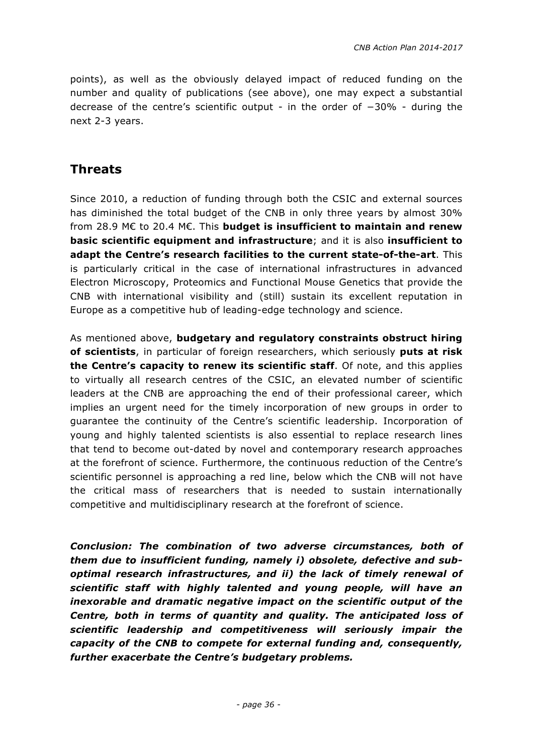points), as well as the obviously delayed impact of reduced funding on the number and quality of publications (see above), one may expect a substantial decrease of the centre's scientific output - in the order of −30% - during the next 2-3 years.

## **Threats**

Since 2010, a reduction of funding through both the CSIC and external sources has diminished the total budget of the CNB in only three years by almost 30% from 28.9 M€ to 20.4 M€. This **budget is insufficient to maintain and renew basic scientific equipment and infrastructure**; and it is also **insufficient to adapt the Centre's research facilities to the current state-of-the-art**. This is particularly critical in the case of international infrastructures in advanced Electron Microscopy, Proteomics and Functional Mouse Genetics that provide the CNB with international visibility and (still) sustain its excellent reputation in Europe as a competitive hub of leading-edge technology and science.

As mentioned above, **budgetary and regulatory constraints obstruct hiring of scientists**, in particular of foreign researchers, which seriously **puts at risk the Centre's capacity to renew its scientific staff**. Of note, and this applies to virtually all research centres of the CSIC, an elevated number of scientific leaders at the CNB are approaching the end of their professional career, which implies an urgent need for the timely incorporation of new groups in order to guarantee the continuity of the Centre's scientific leadership. Incorporation of young and highly talented scientists is also essential to replace research lines that tend to become out-dated by novel and contemporary research approaches at the forefront of science. Furthermore, the continuous reduction of the Centre's scientific personnel is approaching a red line, below which the CNB will not have the critical mass of researchers that is needed to sustain internationally competitive and multidisciplinary research at the forefront of science.

*Conclusion: The combination of two adverse circumstances, both of them due to insufficient funding, namely i) obsolete, defective and suboptimal research infrastructures, and ii) the lack of timely renewal of scientific staff with highly talented and young people, will have an inexorable and dramatic negative impact on the scientific output of the Centre, both in terms of quantity and quality. The anticipated loss of scientific leadership and competitiveness will seriously impair the capacity of the CNB to compete for external funding and, consequently, further exacerbate the Centre's budgetary problems.*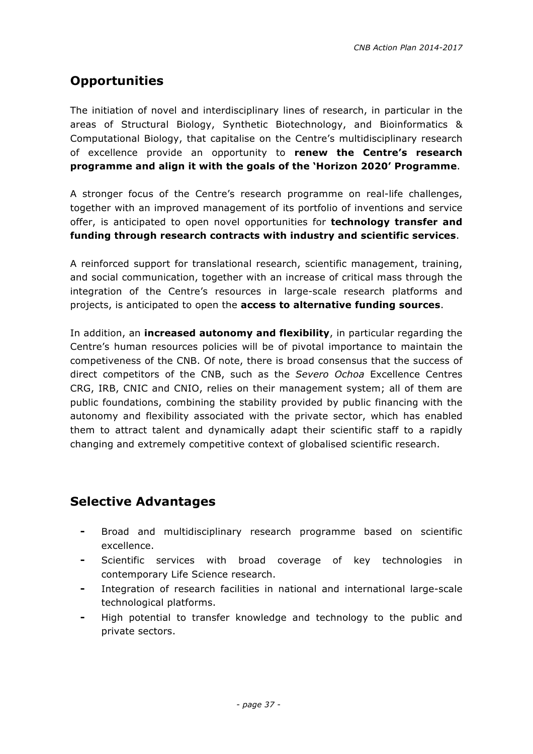# **Opportunities**

The initiation of novel and interdisciplinary lines of research, in particular in the areas of Structural Biology, Synthetic Biotechnology, and Bioinformatics & Computational Biology, that capitalise on the Centre's multidisciplinary research of excellence provide an opportunity to **renew the Centre's research programme and align it with the goals of the 'Horizon 2020' Programme**.

A stronger focus of the Centre's research programme on real-life challenges, together with an improved management of its portfolio of inventions and service offer, is anticipated to open novel opportunities for **technology transfer and funding through research contracts with industry and scientific services**.

A reinforced support for translational research, scientific management, training, and social communication, together with an increase of critical mass through the integration of the Centre's resources in large-scale research platforms and projects, is anticipated to open the **access to alternative funding sources**.

In addition, an **increased autonomy and flexibility**, in particular regarding the Centre's human resources policies will be of pivotal importance to maintain the competiveness of the CNB. Of note, there is broad consensus that the success of direct competitors of the CNB, such as the *Severo Ochoa* Excellence Centres CRG, IRB, CNIC and CNIO, relies on their management system; all of them are public foundations, combining the stability provided by public financing with the autonomy and flexibility associated with the private sector, which has enabled them to attract talent and dynamically adapt their scientific staff to a rapidly changing and extremely competitive context of globalised scientific research.

# **Selective Advantages**

- ⁃ Broad and multidisciplinary research programme based on scientific excellence.
- Scientific services with broad coverage of key technologies in contemporary Life Science research.
- Integration of research facilities in national and international large-scale technological platforms.
- High potential to transfer knowledge and technology to the public and private sectors.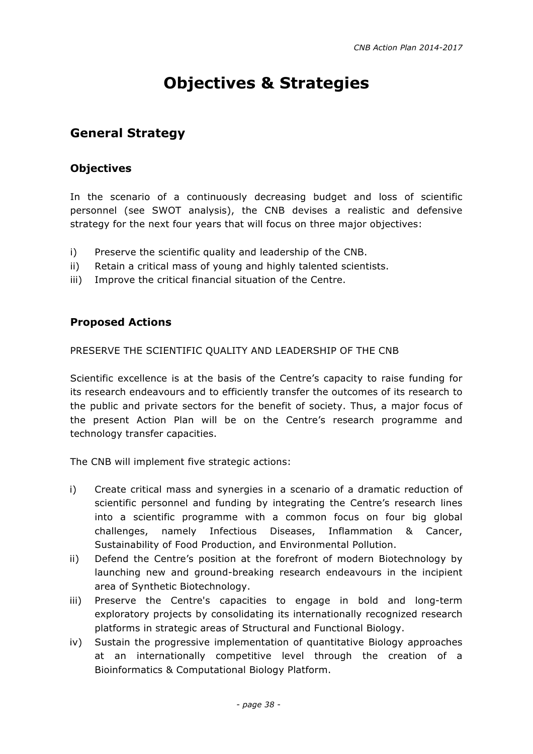# **Objectives & Strategies**

## **General Strategy**

#### **Objectives**

In the scenario of a continuously decreasing budget and loss of scientific personnel (see SWOT analysis), the CNB devises a realistic and defensive strategy for the next four years that will focus on three major objectives:

- i) Preserve the scientific quality and leadership of the CNB.
- ii) Retain a critical mass of young and highly talented scientists.
- iii) Improve the critical financial situation of the Centre.

#### **Proposed Actions**

PRESERVE THE SCIENTIFIC QUALITY AND LEADERSHIP OF THE CNB

Scientific excellence is at the basis of the Centre's capacity to raise funding for its research endeavours and to efficiently transfer the outcomes of its research to the public and private sectors for the benefit of society. Thus, a major focus of the present Action Plan will be on the Centre's research programme and technology transfer capacities.

The CNB will implement five strategic actions:

- i) Create critical mass and synergies in a scenario of a dramatic reduction of scientific personnel and funding by integrating the Centre's research lines into a scientific programme with a common focus on four big global challenges, namely Infectious Diseases, Inflammation & Cancer, Sustainability of Food Production, and Environmental Pollution.
- ii) Defend the Centre's position at the forefront of modern Biotechnology by launching new and ground-breaking research endeavours in the incipient area of Synthetic Biotechnology.
- iii) Preserve the Centre's capacities to engage in bold and long-term exploratory projects by consolidating its internationally recognized research platforms in strategic areas of Structural and Functional Biology.
- iv) Sustain the progressive implementation of quantitative Biology approaches at an internationally competitive level through the creation of a Bioinformatics & Computational Biology Platform.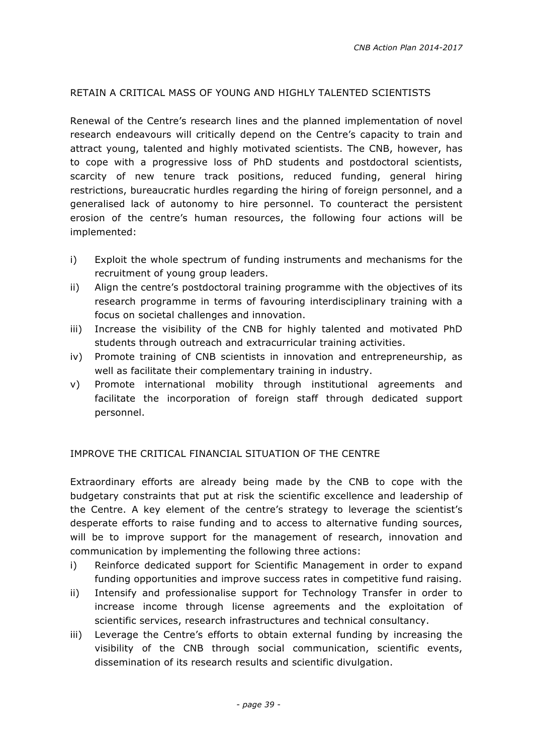#### RETAIN A CRITICAL MASS OF YOUNG AND HIGHLY TALENTED SCIENTISTS

Renewal of the Centre's research lines and the planned implementation of novel research endeavours will critically depend on the Centre's capacity to train and attract young, talented and highly motivated scientists. The CNB, however, has to cope with a progressive loss of PhD students and postdoctoral scientists, scarcity of new tenure track positions, reduced funding, general hiring restrictions, bureaucratic hurdles regarding the hiring of foreign personnel, and a generalised lack of autonomy to hire personnel. To counteract the persistent erosion of the centre's human resources, the following four actions will be implemented:

- i) Exploit the whole spectrum of funding instruments and mechanisms for the recruitment of young group leaders.
- ii) Align the centre's postdoctoral training programme with the objectives of its research programme in terms of favouring interdisciplinary training with a focus on societal challenges and innovation.
- iii) Increase the visibility of the CNB for highly talented and motivated PhD students through outreach and extracurricular training activities.
- iv) Promote training of CNB scientists in innovation and entrepreneurship, as well as facilitate their complementary training in industry.
- v) Promote international mobility through institutional agreements and facilitate the incorporation of foreign staff through dedicated support personnel.

#### IMPROVE THE CRITICAL FINANCIAL SITUATION OF THE CENTRE

Extraordinary efforts are already being made by the CNB to cope with the budgetary constraints that put at risk the scientific excellence and leadership of the Centre. A key element of the centre's strategy to leverage the scientist's desperate efforts to raise funding and to access to alternative funding sources, will be to improve support for the management of research, innovation and communication by implementing the following three actions:

- i) Reinforce dedicated support for Scientific Management in order to expand funding opportunities and improve success rates in competitive fund raising.
- ii) Intensify and professionalise support for Technology Transfer in order to increase income through license agreements and the exploitation of scientific services, research infrastructures and technical consultancy.
- iii) Leverage the Centre's efforts to obtain external funding by increasing the visibility of the CNB through social communication, scientific events, dissemination of its research results and scientific divulgation.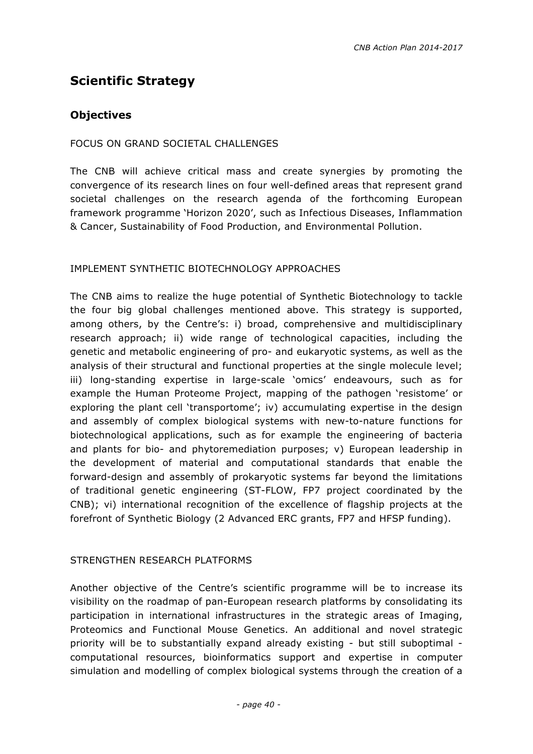# **Scientific Strategy**

#### **Objectives**

#### FOCUS ON GRAND SOCIETAL CHALLENGES

The CNB will achieve critical mass and create synergies by promoting the convergence of its research lines on four well-defined areas that represent grand societal challenges on the research agenda of the forthcoming European framework programme 'Horizon 2020', such as Infectious Diseases, Inflammation & Cancer, Sustainability of Food Production, and Environmental Pollution.

#### IMPLEMENT SYNTHETIC BIOTECHNOLOGY APPROACHES

The CNB aims to realize the huge potential of Synthetic Biotechnology to tackle the four big global challenges mentioned above. This strategy is supported, among others, by the Centre's: i) broad, comprehensive and multidisciplinary research approach; ii) wide range of technological capacities, including the genetic and metabolic engineering of pro- and eukaryotic systems, as well as the analysis of their structural and functional properties at the single molecule level; iii) long-standing expertise in large-scale 'omics' endeavours, such as for example the Human Proteome Project, mapping of the pathogen 'resistome' or exploring the plant cell 'transportome'; iv) accumulating expertise in the design and assembly of complex biological systems with new-to-nature functions for biotechnological applications, such as for example the engineering of bacteria and plants for bio- and phytoremediation purposes; v) European leadership in the development of material and computational standards that enable the forward-design and assembly of prokaryotic systems far beyond the limitations of traditional genetic engineering (ST-FLOW, FP7 project coordinated by the CNB); vi) international recognition of the excellence of flagship projects at the forefront of Synthetic Biology (2 Advanced ERC grants, FP7 and HFSP funding).

#### STRENGTHEN RESEARCH PLATFORMS

Another objective of the Centre's scientific programme will be to increase its visibility on the roadmap of pan-European research platforms by consolidating its participation in international infrastructures in the strategic areas of Imaging, Proteomics and Functional Mouse Genetics. An additional and novel strategic priority will be to substantially expand already existing - but still suboptimal computational resources, bioinformatics support and expertise in computer simulation and modelling of complex biological systems through the creation of a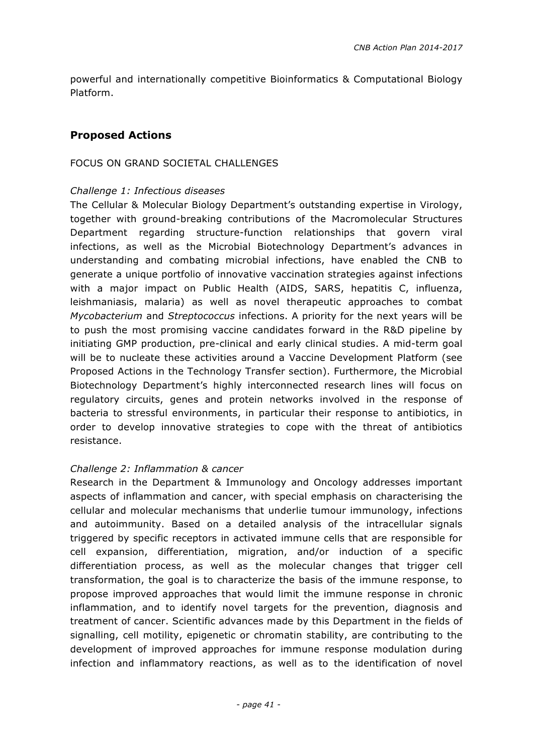powerful and internationally competitive Bioinformatics & Computational Biology Platform.

#### **Proposed Actions**

#### FOCUS ON GRAND SOCIETAL CHALLENGES

#### *Challenge 1: Infectious diseases*

The Cellular & Molecular Biology Department's outstanding expertise in Virology, together with ground-breaking contributions of the Macromolecular Structures Department regarding structure-function relationships that govern viral infections, as well as the Microbial Biotechnology Department's advances in understanding and combating microbial infections, have enabled the CNB to generate a unique portfolio of innovative vaccination strategies against infections with a major impact on Public Health (AIDS, SARS, hepatitis C, influenza, leishmaniasis, malaria) as well as novel therapeutic approaches to combat *Mycobacterium* and *Streptococcus* infections. A priority for the next years will be to push the most promising vaccine candidates forward in the R&D pipeline by initiating GMP production, pre-clinical and early clinical studies. A mid-term goal will be to nucleate these activities around a Vaccine Development Platform (see Proposed Actions in the Technology Transfer section). Furthermore, the Microbial Biotechnology Department's highly interconnected research lines will focus on regulatory circuits, genes and protein networks involved in the response of bacteria to stressful environments, in particular their response to antibiotics, in order to develop innovative strategies to cope with the threat of antibiotics resistance.

#### *Challenge 2: Inflammation & cancer*

Research in the Department & Immunology and Oncology addresses important aspects of inflammation and cancer, with special emphasis on characterising the cellular and molecular mechanisms that underlie tumour immunology, infections and autoimmunity. Based on a detailed analysis of the intracellular signals triggered by specific receptors in activated immune cells that are responsible for cell expansion, differentiation, migration, and/or induction of a specific differentiation process, as well as the molecular changes that trigger cell transformation, the goal is to characterize the basis of the immune response, to propose improved approaches that would limit the immune response in chronic inflammation, and to identify novel targets for the prevention, diagnosis and treatment of cancer. Scientific advances made by this Department in the fields of signalling, cell motility, epigenetic or chromatin stability, are contributing to the development of improved approaches for immune response modulation during infection and inflammatory reactions, as well as to the identification of novel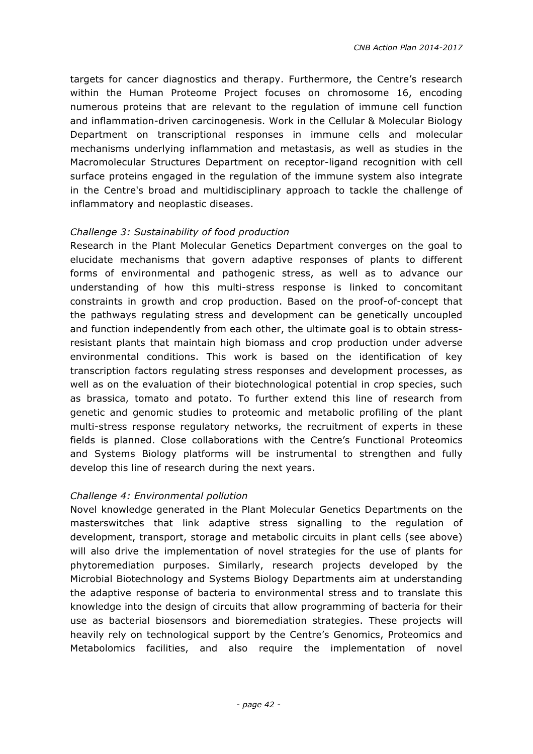targets for cancer diagnostics and therapy. Furthermore, the Centre's research within the Human Proteome Project focuses on chromosome 16, encoding numerous proteins that are relevant to the regulation of immune cell function and inflammation-driven carcinogenesis. Work in the Cellular & Molecular Biology Department on transcriptional responses in immune cells and molecular mechanisms underlying inflammation and metastasis, as well as studies in the Macromolecular Structures Department on receptor-ligand recognition with cell surface proteins engaged in the regulation of the immune system also integrate in the Centre's broad and multidisciplinary approach to tackle the challenge of inflammatory and neoplastic diseases.

#### *Challenge 3: Sustainability of food production*

Research in the Plant Molecular Genetics Department converges on the goal to elucidate mechanisms that govern adaptive responses of plants to different forms of environmental and pathogenic stress, as well as to advance our understanding of how this multi-stress response is linked to concomitant constraints in growth and crop production. Based on the proof-of-concept that the pathways regulating stress and development can be genetically uncoupled and function independently from each other, the ultimate goal is to obtain stressresistant plants that maintain high biomass and crop production under adverse environmental conditions. This work is based on the identification of key transcription factors regulating stress responses and development processes, as well as on the evaluation of their biotechnological potential in crop species, such as brassica, tomato and potato. To further extend this line of research from genetic and genomic studies to proteomic and metabolic profiling of the plant multi-stress response regulatory networks, the recruitment of experts in these fields is planned. Close collaborations with the Centre's Functional Proteomics and Systems Biology platforms will be instrumental to strengthen and fully develop this line of research during the next years.

#### *Challenge 4: Environmental pollution*

Novel knowledge generated in the Plant Molecular Genetics Departments on the masterswitches that link adaptive stress signalling to the regulation of development, transport, storage and metabolic circuits in plant cells (see above) will also drive the implementation of novel strategies for the use of plants for phytoremediation purposes. Similarly, research projects developed by the Microbial Biotechnology and Systems Biology Departments aim at understanding the adaptive response of bacteria to environmental stress and to translate this knowledge into the design of circuits that allow programming of bacteria for their use as bacterial biosensors and bioremediation strategies. These projects will heavily rely on technological support by the Centre's Genomics, Proteomics and Metabolomics facilities, and also require the implementation of novel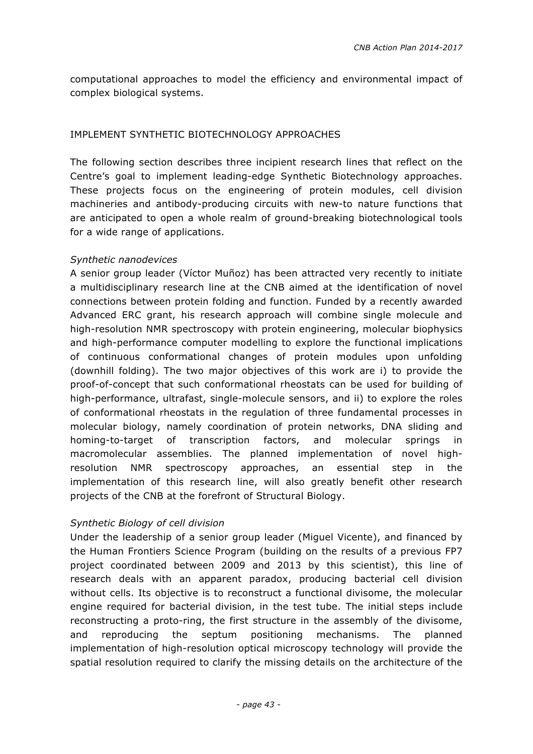computational approaches to model the efficiency and environmental impact of complex biological systems.

#### IMPLEMENT SYNTHETIC BIOTECHNOLOGY APPROACHES

The following section describes three incipient research lines that reflect on the Centre's goal to implement leading-edge Synthetic Biotechnology approaches. These projects focus on the engineering of protein modules, cell division machineries and antibody-producing circuits with new-to nature functions that are anticipated to open a whole realm of ground-breaking biotechnological tools for a wide range of applications.

#### *Synthetic nanodevices*

A senior group leader (Víctor Muñoz) has been attracted very recently to initiate a multidisciplinary research line at the CNB aimed at the identification of novel connections between protein folding and function. Funded by a recently awarded Advanced ERC grant, his research approach will combine single molecule and high-resolution NMR spectroscopy with protein engineering, molecular biophysics and high-performance computer modelling to explore the functional implications of continuous conformational changes of protein modules upon unfolding (downhill folding). The two major objectives of this work are i) to provide the proof-of-concept that such conformational rheostats can be used for building of high-performance, ultrafast, single-molecule sensors, and ii) to explore the roles of conformational rheostats in the regulation of three fundamental processes in molecular biology, namely coordination of protein networks, DNA sliding and homing-to-target of transcription factors, and molecular springs in macromolecular assemblies. The planned implementation of novel highresolution NMR spectroscopy approaches, an essential step in the implementation of this research line, will also greatly benefit other research projects of the CNB at the forefront of Structural Biology.

#### *Synthetic Biology of cell division*

Under the leadership of a senior group leader (Miguel Vicente), and financed by the Human Frontiers Science Program (building on the results of a previous FP7 project coordinated between 2009 and 2013 by this scientist), this line of research deals with an apparent paradox, producing bacterial cell division without cells. Its objective is to reconstruct a functional divisome, the molecular engine required for bacterial division, in the test tube. The initial steps include reconstructing a proto-ring, the first structure in the assembly of the divisome, and reproducing the septum positioning mechanisms. The planned implementation of high-resolution optical microscopy technology will provide the spatial resolution required to clarify the missing details on the architecture of the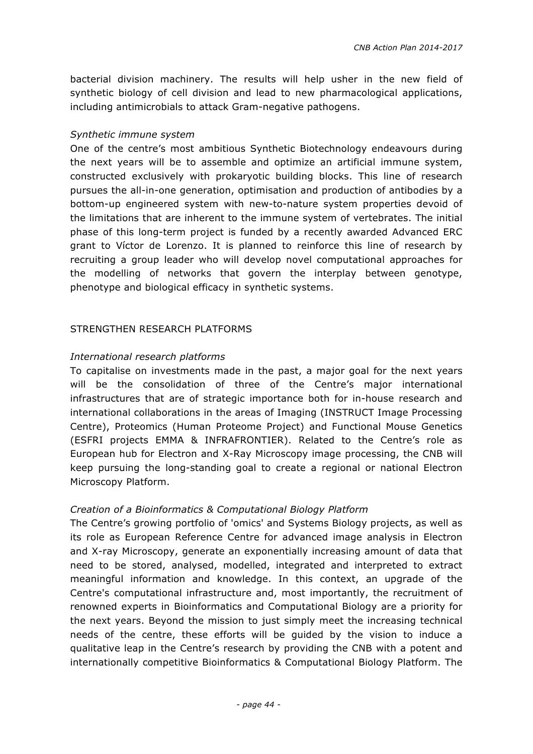bacterial division machinery. The results will help usher in the new field of synthetic biology of cell division and lead to new pharmacological applications, including antimicrobials to attack Gram-negative pathogens.

#### *Synthetic immune system*

One of the centre's most ambitious Synthetic Biotechnology endeavours during the next years will be to assemble and optimize an artificial immune system, constructed exclusively with prokaryotic building blocks. This line of research pursues the all-in-one generation, optimisation and production of antibodies by a bottom-up engineered system with new-to-nature system properties devoid of the limitations that are inherent to the immune system of vertebrates. The initial phase of this long-term project is funded by a recently awarded Advanced ERC grant to Víctor de Lorenzo. It is planned to reinforce this line of research by recruiting a group leader who will develop novel computational approaches for the modelling of networks that govern the interplay between genotype, phenotype and biological efficacy in synthetic systems.

#### STRENGTHEN RESEARCH PLATFORMS

#### *International research platforms*

To capitalise on investments made in the past, a major goal for the next years will be the consolidation of three of the Centre's major international infrastructures that are of strategic importance both for in-house research and international collaborations in the areas of Imaging (INSTRUCT Image Processing Centre), Proteomics (Human Proteome Project) and Functional Mouse Genetics (ESFRI projects EMMA & INFRAFRONTIER). Related to the Centre's role as European hub for Electron and X-Ray Microscopy image processing, the CNB will keep pursuing the long-standing goal to create a regional or national Electron Microscopy Platform.

#### *Creation of a Bioinformatics & Computational Biology Platform*

The Centre's growing portfolio of 'omics' and Systems Biology projects, as well as its role as European Reference Centre for advanced image analysis in Electron and X-ray Microscopy, generate an exponentially increasing amount of data that need to be stored, analysed, modelled, integrated and interpreted to extract meaningful information and knowledge. In this context, an upgrade of the Centre's computational infrastructure and, most importantly, the recruitment of renowned experts in Bioinformatics and Computational Biology are a priority for the next years. Beyond the mission to just simply meet the increasing technical needs of the centre, these efforts will be guided by the vision to induce a qualitative leap in the Centre's research by providing the CNB with a potent and internationally competitive Bioinformatics & Computational Biology Platform. The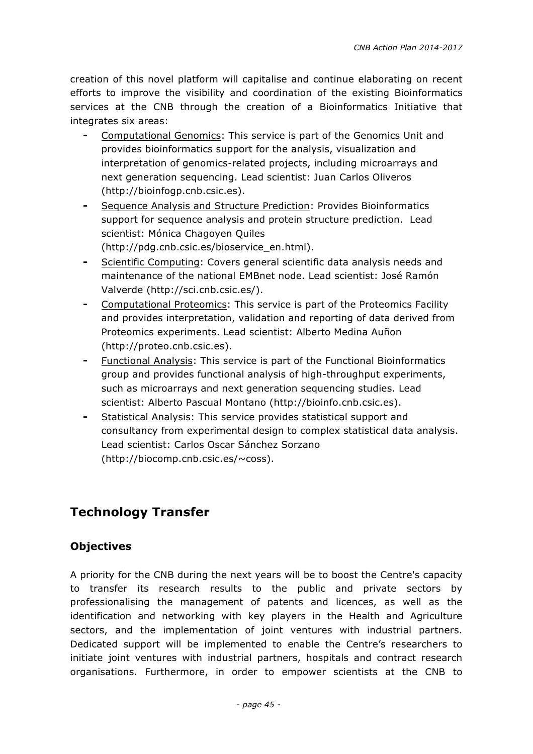creation of this novel platform will capitalise and continue elaborating on recent efforts to improve the visibility and coordination of the existing Bioinformatics services at the CNB through the creation of a Bioinformatics Initiative that integrates six areas:

- ⁃ Computational Genomics: This service is part of the Genomics Unit and provides bioinformatics support for the analysis, visualization and interpretation of genomics-related projects, including microarrays and next generation sequencing. Lead scientist: Juan Carlos Oliveros (http://bioinfogp.cnb.csic.es).
- Sequence Analysis and Structure Prediction: Provides Bioinformatics support for sequence analysis and protein structure prediction. Lead scientist: Mónica Chagoyen Quiles (http://pdg.cnb.csic.es/bioservice\_en.html).
- Scientific Computing: Covers general scientific data analysis needs and maintenance of the national EMBnet node. Lead scientist: José Ramón Valverde (http://sci.cnb.csic.es/).
- Computational Proteomics: This service is part of the Proteomics Facility and provides interpretation, validation and reporting of data derived from Proteomics experiments. Lead scientist: Alberto Medina Auñon (http://proteo.cnb.csic.es).
- ⁃ Functional Analysis: This service is part of the Functional Bioinformatics group and provides functional analysis of high-throughput experiments, such as microarrays and next generation sequencing studies. Lead scientist: Alberto Pascual Montano (http://bioinfo.cnb.csic.es).
- Statistical Analysis: This service provides statistical support and consultancy from experimental design to complex statistical data analysis. Lead scientist: Carlos Oscar Sánchez Sorzano (http://biocomp.cnb.csic.es/~coss).

# **Technology Transfer**

#### **Objectives**

A priority for the CNB during the next years will be to boost the Centre's capacity to transfer its research results to the public and private sectors by professionalising the management of patents and licences, as well as the identification and networking with key players in the Health and Agriculture sectors, and the implementation of joint ventures with industrial partners. Dedicated support will be implemented to enable the Centre's researchers to initiate joint ventures with industrial partners, hospitals and contract research organisations. Furthermore, in order to empower scientists at the CNB to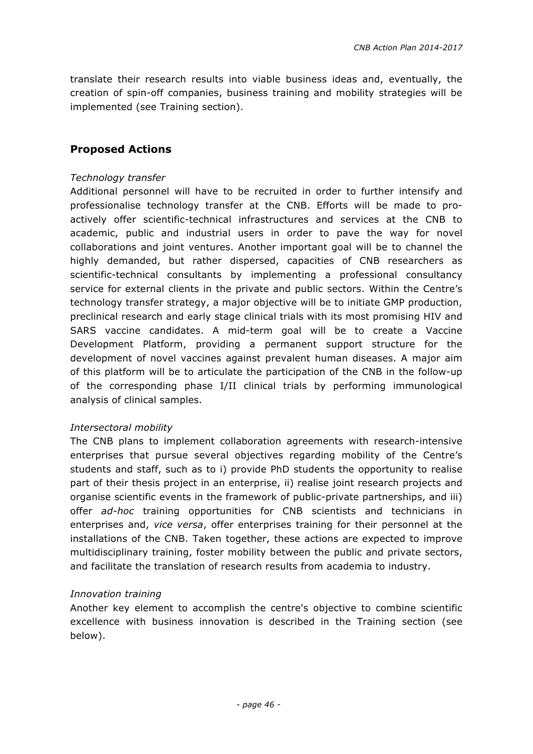translate their research results into viable business ideas and, eventually, the creation of spin-off companies, business training and mobility strategies will be implemented (see Training section).

#### **Proposed Actions**

#### *Technology transfer*

Additional personnel will have to be recruited in order to further intensify and professionalise technology transfer at the CNB. Efforts will be made to proactively offer scientific-technical infrastructures and services at the CNB to academic, public and industrial users in order to pave the way for novel collaborations and joint ventures. Another important goal will be to channel the highly demanded, but rather dispersed, capacities of CNB researchers as scientific-technical consultants by implementing a professional consultancy service for external clients in the private and public sectors. Within the Centre's technology transfer strategy, a major objective will be to initiate GMP production, preclinical research and early stage clinical trials with its most promising HIV and SARS vaccine candidates. A mid-term goal will be to create a Vaccine Development Platform, providing a permanent support structure for the development of novel vaccines against prevalent human diseases. A major aim of this platform will be to articulate the participation of the CNB in the follow-up of the corresponding phase I/II clinical trials by performing immunological analysis of clinical samples.

#### *Intersectoral mobility*

The CNB plans to implement collaboration agreements with research-intensive enterprises that pursue several objectives regarding mobility of the Centre's students and staff, such as to i) provide PhD students the opportunity to realise part of their thesis project in an enterprise, ii) realise joint research projects and organise scientific events in the framework of public-private partnerships, and iii) offer *ad-hoc* training opportunities for CNB scientists and technicians in enterprises and, *vice versa*, offer enterprises training for their personnel at the installations of the CNB. Taken together, these actions are expected to improve multidisciplinary training, foster mobility between the public and private sectors, and facilitate the translation of research results from academia to industry.

#### *Innovation training*

Another key element to accomplish the centre's objective to combine scientific excellence with business innovation is described in the Training section (see below).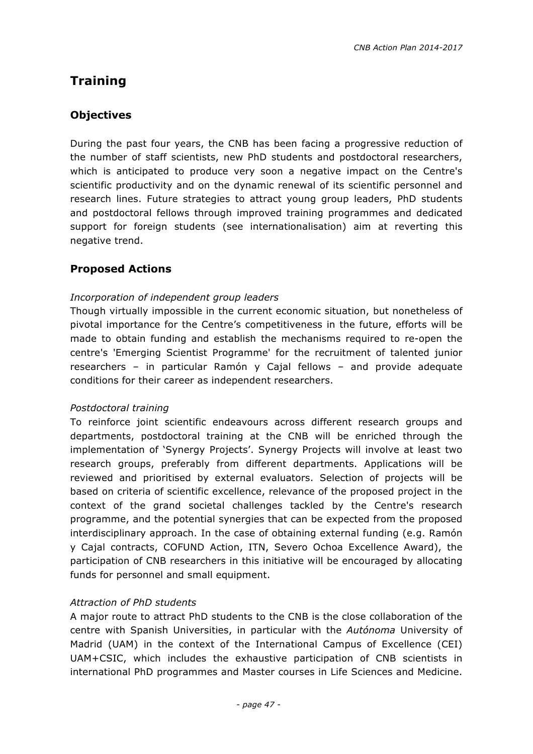# **Training**

#### **Objectives**

During the past four years, the CNB has been facing a progressive reduction of the number of staff scientists, new PhD students and postdoctoral researchers, which is anticipated to produce very soon a negative impact on the Centre's scientific productivity and on the dynamic renewal of its scientific personnel and research lines. Future strategies to attract young group leaders, PhD students and postdoctoral fellows through improved training programmes and dedicated support for foreign students (see internationalisation) aim at reverting this negative trend.

#### **Proposed Actions**

#### *Incorporation of independent group leaders*

Though virtually impossible in the current economic situation, but nonetheless of pivotal importance for the Centre's competitiveness in the future, efforts will be made to obtain funding and establish the mechanisms required to re-open the centre's 'Emerging Scientist Programme' for the recruitment of talented junior researchers – in particular Ramón y Cajal fellows – and provide adequate conditions for their career as independent researchers.

#### *Postdoctoral training*

To reinforce joint scientific endeavours across different research groups and departments, postdoctoral training at the CNB will be enriched through the implementation of 'Synergy Projects'. Synergy Projects will involve at least two research groups, preferably from different departments. Applications will be reviewed and prioritised by external evaluators. Selection of projects will be based on criteria of scientific excellence, relevance of the proposed project in the context of the grand societal challenges tackled by the Centre's research programme, and the potential synergies that can be expected from the proposed interdisciplinary approach. In the case of obtaining external funding (e.g. Ramón y Cajal contracts, COFUND Action, ITN, Severo Ochoa Excellence Award), the participation of CNB researchers in this initiative will be encouraged by allocating funds for personnel and small equipment.

#### *Attraction of PhD students*

A major route to attract PhD students to the CNB is the close collaboration of the centre with Spanish Universities, in particular with the *Autónoma* University of Madrid (UAM) in the context of the International Campus of Excellence (CEI) UAM+CSIC, which includes the exhaustive participation of CNB scientists in international PhD programmes and Master courses in Life Sciences and Medicine.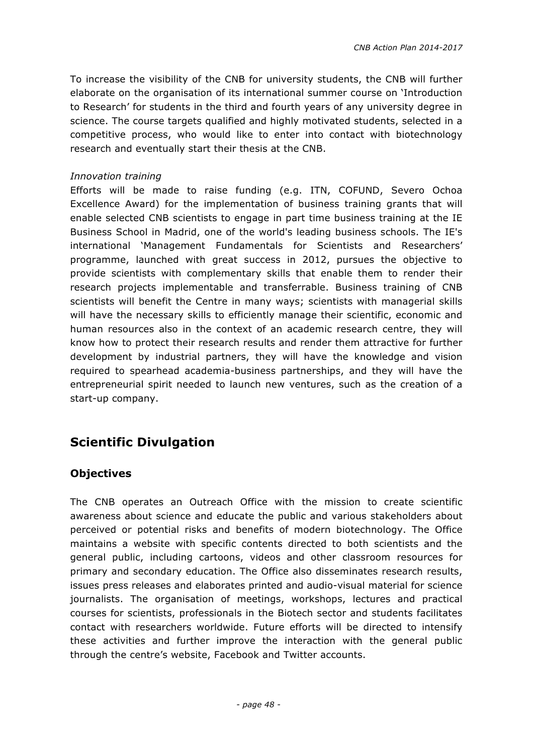To increase the visibility of the CNB for university students, the CNB will further elaborate on the organisation of its international summer course on 'Introduction to Research' for students in the third and fourth years of any university degree in science. The course targets qualified and highly motivated students, selected in a competitive process, who would like to enter into contact with biotechnology research and eventually start their thesis at the CNB.

#### *Innovation training*

Efforts will be made to raise funding (e.g. ITN, COFUND, Severo Ochoa Excellence Award) for the implementation of business training grants that will enable selected CNB scientists to engage in part time business training at the IE Business School in Madrid, one of the world's leading business schools. The IE's international 'Management Fundamentals for Scientists and Researchers' programme, launched with great success in 2012, pursues the objective to provide scientists with complementary skills that enable them to render their research projects implementable and transferrable. Business training of CNB scientists will benefit the Centre in many ways; scientists with managerial skills will have the necessary skills to efficiently manage their scientific, economic and human resources also in the context of an academic research centre, they will know how to protect their research results and render them attractive for further development by industrial partners, they will have the knowledge and vision required to spearhead academia-business partnerships, and they will have the entrepreneurial spirit needed to launch new ventures, such as the creation of a start-up company.

# **Scientific Divulgation**

#### **Objectives**

The CNB operates an Outreach Office with the mission to create scientific awareness about science and educate the public and various stakeholders about perceived or potential risks and benefits of modern biotechnology. The Office maintains a website with specific contents directed to both scientists and the general public, including cartoons, videos and other classroom resources for primary and secondary education. The Office also disseminates research results, issues press releases and elaborates printed and audio-visual material for science journalists. The organisation of meetings, workshops, lectures and practical courses for scientists, professionals in the Biotech sector and students facilitates contact with researchers worldwide. Future efforts will be directed to intensify these activities and further improve the interaction with the general public through the centre's website, Facebook and Twitter accounts.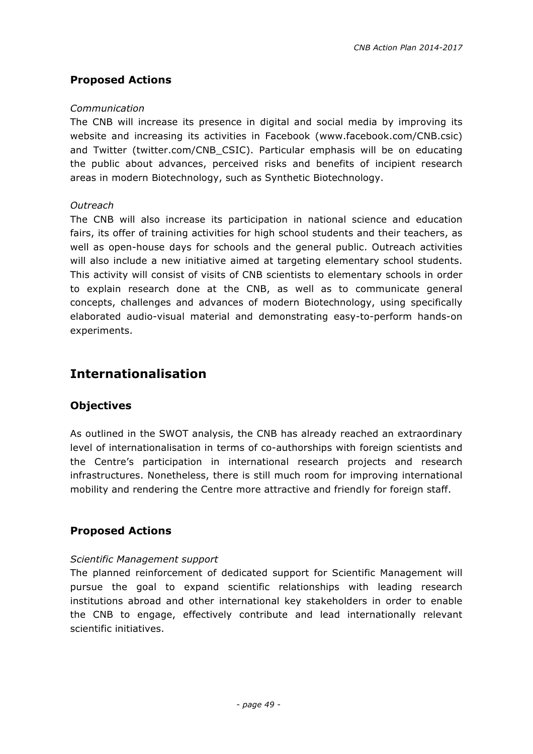#### **Proposed Actions**

#### *Communication*

The CNB will increase its presence in digital and social media by improving its website and increasing its activities in Facebook (www.facebook.com/CNB.csic) and Twitter (twitter.com/CNB\_CSIC). Particular emphasis will be on educating the public about advances, perceived risks and benefits of incipient research areas in modern Biotechnology, such as Synthetic Biotechnology.

#### *Outreach*

The CNB will also increase its participation in national science and education fairs, its offer of training activities for high school students and their teachers, as well as open-house days for schools and the general public. Outreach activities will also include a new initiative aimed at targeting elementary school students. This activity will consist of visits of CNB scientists to elementary schools in order to explain research done at the CNB, as well as to communicate general concepts, challenges and advances of modern Biotechnology, using specifically elaborated audio-visual material and demonstrating easy-to-perform hands-on experiments.

## **Internationalisation**

#### **Objectives**

As outlined in the SWOT analysis, the CNB has already reached an extraordinary level of internationalisation in terms of co-authorships with foreign scientists and the Centre's participation in international research projects and research infrastructures. Nonetheless, there is still much room for improving international mobility and rendering the Centre more attractive and friendly for foreign staff.

#### **Proposed Actions**

#### *Scientific Management support*

The planned reinforcement of dedicated support for Scientific Management will pursue the goal to expand scientific relationships with leading research institutions abroad and other international key stakeholders in order to enable the CNB to engage, effectively contribute and lead internationally relevant scientific initiatives.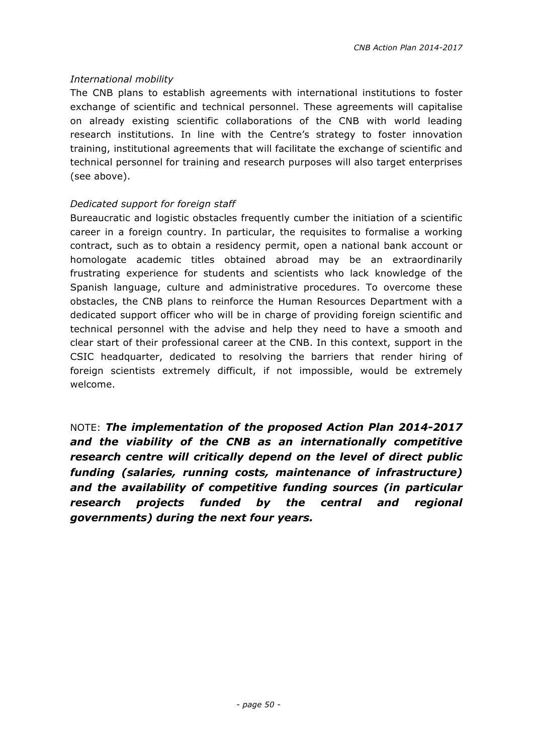#### *International mobility*

The CNB plans to establish agreements with international institutions to foster exchange of scientific and technical personnel. These agreements will capitalise on already existing scientific collaborations of the CNB with world leading research institutions. In line with the Centre's strategy to foster innovation training, institutional agreements that will facilitate the exchange of scientific and technical personnel for training and research purposes will also target enterprises (see above).

#### *Dedicated support for foreign staff*

Bureaucratic and logistic obstacles frequently cumber the initiation of a scientific career in a foreign country. In particular, the requisites to formalise a working contract, such as to obtain a residency permit, open a national bank account or homologate academic titles obtained abroad may be an extraordinarily frustrating experience for students and scientists who lack knowledge of the Spanish language, culture and administrative procedures. To overcome these obstacles, the CNB plans to reinforce the Human Resources Department with a dedicated support officer who will be in charge of providing foreign scientific and technical personnel with the advise and help they need to have a smooth and clear start of their professional career at the CNB. In this context, support in the CSIC headquarter, dedicated to resolving the barriers that render hiring of foreign scientists extremely difficult, if not impossible, would be extremely welcome.

NOTE: *The implementation of the proposed Action Plan 2014-2017 and the viability of the CNB as an internationally competitive research centre will critically depend on the level of direct public funding (salaries, running costs, maintenance of infrastructure) and the availability of competitive funding sources (in particular research projects funded by the central and regional governments) during the next four years.*